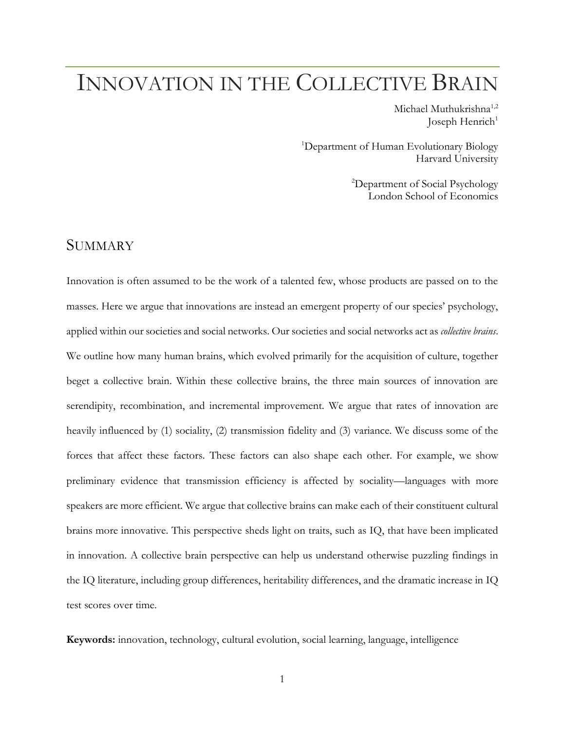# INNOVATION IN THE COLLECTIVE BRAIN

Michael Muthukrishna<sup>1,2</sup> Joseph Henrich $1$ 

<sup>1</sup>Department of Human Evolutionary Biology Harvard University

> <sup>2</sup>Department of Social Psychology London School of Economics

## SUMMARY

Innovation is often assumed to be the work of a talented few, whose products are passed on to the masses. Here we argue that innovations are instead an emergent property of our species' psychology, applied within our societies and social networks. Our societies and social networks act as *collective brains*. We outline how many human brains, which evolved primarily for the acquisition of culture, together beget a collective brain. Within these collective brains, the three main sources of innovation are serendipity, recombination, and incremental improvement. We argue that rates of innovation are heavily influenced by (1) sociality, (2) transmission fidelity and (3) variance. We discuss some of the forces that affect these factors. These factors can also shape each other. For example, we show preliminary evidence that transmission efficiency is affected by sociality—languages with more speakers are more efficient. We argue that collective brains can make each of their constituent cultural brains more innovative. This perspective sheds light on traits, such as IQ, that have been implicated in innovation. A collective brain perspective can help us understand otherwise puzzling findings in the IQ literature, including group differences, heritability differences, and the dramatic increase in IQ test scores over time.

**Keywords:** innovation, technology, cultural evolution, social learning, language, intelligence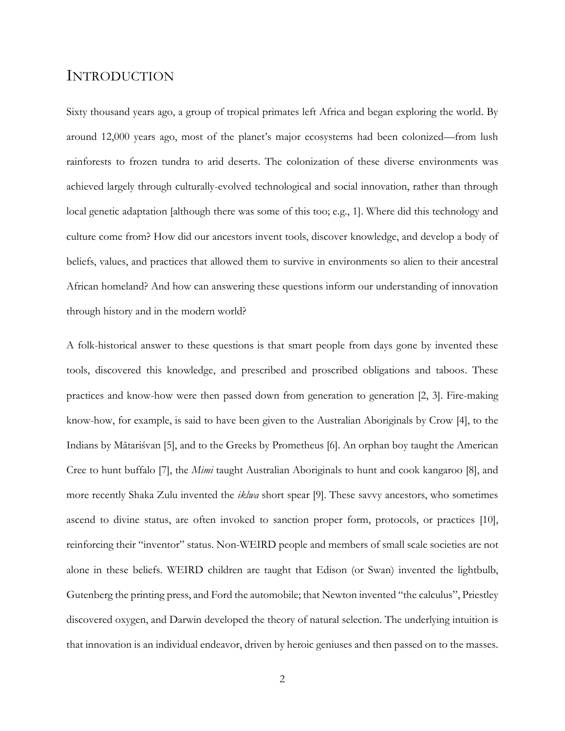### INTRODUCTION

Sixty thousand years ago, a group of tropical primates left Africa and began exploring the world. By around 12,000 years ago, most of the planet's major ecosystems had been colonized—from lush rainforests to frozen tundra to arid deserts. The colonization of these diverse environments was achieved largely through culturally-evolved technological and social innovation, rather than through local genetic adaptation [although there was some of this too; e.g., 1]. Where did this technology and culture come from? How did our ancestors invent tools, discover knowledge, and develop a body of beliefs, values, and practices that allowed them to survive in environments so alien to their ancestral African homeland? And how can answering these questions inform our understanding of innovation through history and in the modern world?

A folk-historical answer to these questions is that smart people from days gone by invented these tools, discovered this knowledge, and prescribed and proscribed obligations and taboos. These practices and know-how were then passed down from generation to generation [2, 3]. Fire-making know-how, for example, is said to have been given to the Australian Aboriginals by Crow [4], to the Indians by Mātariśvan [5], and to the Greeks by Prometheus [6]. An orphan boy taught the American Cree to hunt buffalo [7], the *Mimi* taught Australian Aboriginals to hunt and cook kangaroo [8], and more recently Shaka Zulu invented the *iklwa* short spear [9]. These savvy ancestors, who sometimes ascend to divine status, are often invoked to sanction proper form, protocols, or practices [10], reinforcing their "inventor" status. Non-WEIRD people and members of small scale societies are not alone in these beliefs. WEIRD children are taught that Edison (or Swan) invented the lightbulb, Gutenberg the printing press, and Ford the automobile; that Newton invented "the calculus", Priestley discovered oxygen, and Darwin developed the theory of natural selection. The underlying intuition is that innovation is an individual endeavor, driven by heroic geniuses and then passed on to the masses.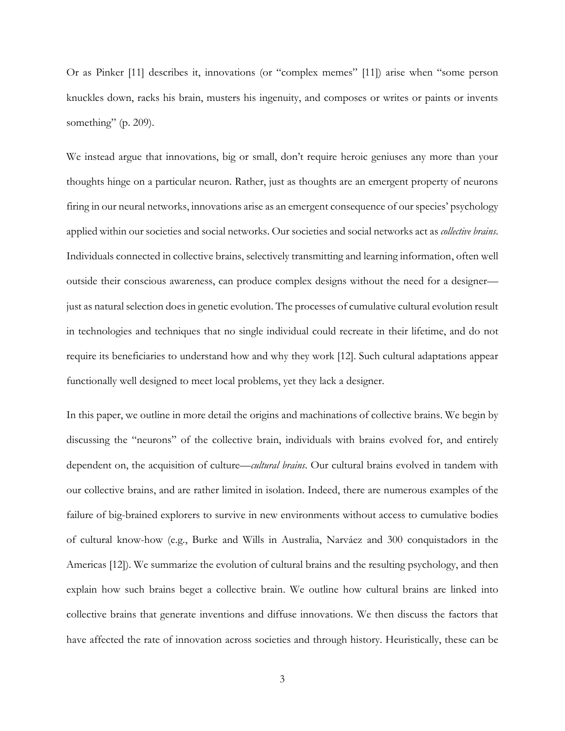Or as Pinker [11] describes it, innovations (or "complex memes" [11]) arise when "some person knuckles down, racks his brain, musters his ingenuity, and composes or writes or paints or invents something" (p. 209).

We instead argue that innovations, big or small, don't require heroic geniuses any more than your thoughts hinge on a particular neuron. Rather, just as thoughts are an emergent property of neurons firing in our neural networks, innovations arise as an emergent consequence of our species' psychology applied within our societies and social networks. Our societies and social networks act as *collective brains*. Individuals connected in collective brains, selectively transmitting and learning information, often well outside their conscious awareness, can produce complex designs without the need for a designer just as natural selection does in genetic evolution. The processes of cumulative cultural evolution result in technologies and techniques that no single individual could recreate in their lifetime, and do not require its beneficiaries to understand how and why they work [12]. Such cultural adaptations appear functionally well designed to meet local problems, yet they lack a designer.

In this paper, we outline in more detail the origins and machinations of collective brains. We begin by discussing the "neurons" of the collective brain, individuals with brains evolved for, and entirely dependent on, the acquisition of culture—*cultural brains*. Our cultural brains evolved in tandem with our collective brains, and are rather limited in isolation. Indeed, there are numerous examples of the failure of big-brained explorers to survive in new environments without access to cumulative bodies of cultural know-how (e.g., Burke and Wills in Australia, Narváez and 300 conquistadors in the Americas [12]). We summarize the evolution of cultural brains and the resulting psychology, and then explain how such brains beget a collective brain. We outline how cultural brains are linked into collective brains that generate inventions and diffuse innovations. We then discuss the factors that have affected the rate of innovation across societies and through history. Heuristically, these can be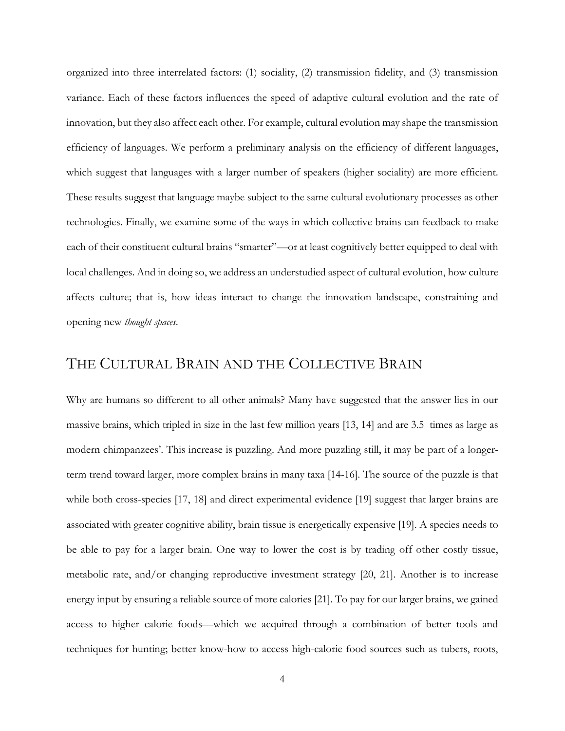organized into three interrelated factors: (1) sociality, (2) transmission fidelity, and (3) transmission variance. Each of these factors influences the speed of adaptive cultural evolution and the rate of innovation, but they also affect each other. For example, cultural evolution may shape the transmission efficiency of languages. We perform a preliminary analysis on the efficiency of different languages, which suggest that languages with a larger number of speakers (higher sociality) are more efficient. These results suggest that language maybe subject to the same cultural evolutionary processes as other technologies. Finally, we examine some of the ways in which collective brains can feedback to make each of their constituent cultural brains "smarter"—or at least cognitively better equipped to deal with local challenges. And in doing so, we address an understudied aspect of cultural evolution, how culture affects culture; that is, how ideas interact to change the innovation landscape, constraining and opening new *thought spaces*.

# THE CULTURAL BRAIN AND THE COLLECTIVE BRAIN

Why are humans so different to all other animals? Many have suggested that the answer lies in our massive brains, which tripled in size in the last few million years [13, 14] and are 3.5 times as large as modern chimpanzees'. This increase is puzzling. And more puzzling still, it may be part of a longerterm trend toward larger, more complex brains in many taxa [14-16]. The source of the puzzle is that while both cross-species [17, 18] and direct experimental evidence [19] suggest that larger brains are associated with greater cognitive ability, brain tissue is energetically expensive [19]. A species needs to be able to pay for a larger brain. One way to lower the cost is by trading off other costly tissue, metabolic rate, and/or changing reproductive investment strategy [20, 21]. Another is to increase energy input by ensuring a reliable source of more calories [21]. To pay for our larger brains, we gained access to higher calorie foods—which we acquired through a combination of better tools and techniques for hunting; better know-how to access high-calorie food sources such as tubers, roots,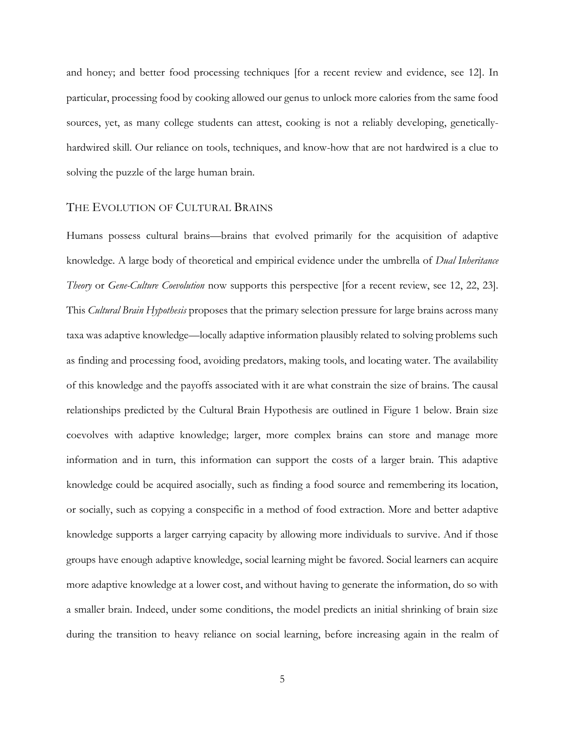and honey; and better food processing techniques [for a recent review and evidence, see 12]. In particular, processing food by cooking allowed our genus to unlock more calories from the same food sources, yet, as many college students can attest, cooking is not a reliably developing, geneticallyhardwired skill. Our reliance on tools, techniques, and know-how that are not hardwired is a clue to solving the puzzle of the large human brain.

#### THE EVOLUTION OF CULTURAL BRAINS

Humans possess cultural brains—brains that evolved primarily for the acquisition of adaptive knowledge. A large body of theoretical and empirical evidence under the umbrella of *Dual Inheritance Theory* or *Gene-Culture Coevolution* now supports this perspective [for a recent review, see 12, 22, 23]. This *Cultural Brain Hypothesis* proposes that the primary selection pressure for large brains across many taxa was adaptive knowledge—locally adaptive information plausibly related to solving problems such as finding and processing food, avoiding predators, making tools, and locating water. The availability of this knowledge and the payoffs associated with it are what constrain the size of brains. The causal relationships predicted by the Cultural Brain Hypothesis are outlined in Figure 1 below. Brain size coevolves with adaptive knowledge; larger, more complex brains can store and manage more information and in turn, this information can support the costs of a larger brain. This adaptive knowledge could be acquired asocially, such as finding a food source and remembering its location, or socially, such as copying a conspecific in a method of food extraction. More and better adaptive knowledge supports a larger carrying capacity by allowing more individuals to survive. And if those groups have enough adaptive knowledge, social learning might be favored. Social learners can acquire more adaptive knowledge at a lower cost, and without having to generate the information, do so with a smaller brain. Indeed, under some conditions, the model predicts an initial shrinking of brain size during the transition to heavy reliance on social learning, before increasing again in the realm of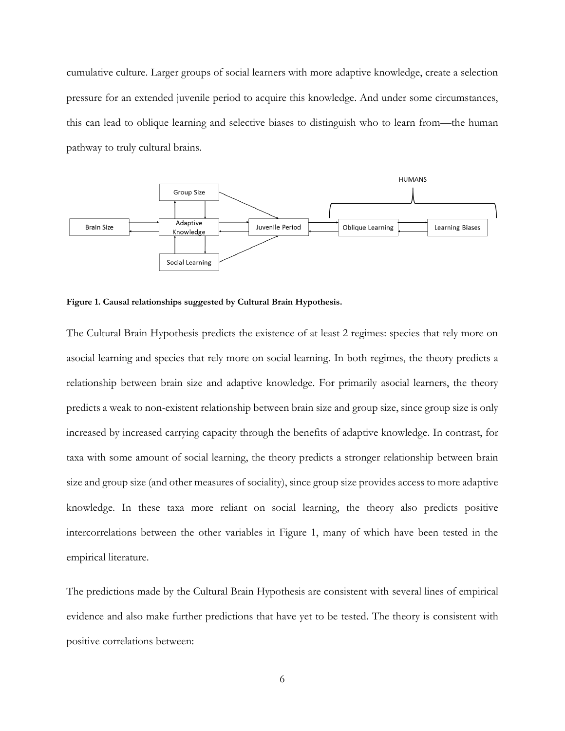cumulative culture. Larger groups of social learners with more adaptive knowledge, create a selection pressure for an extended juvenile period to acquire this knowledge. And under some circumstances, this can lead to oblique learning and selective biases to distinguish who to learn from—the human pathway to truly cultural brains.



**Figure 1. Causal relationships suggested by Cultural Brain Hypothesis.** 

The Cultural Brain Hypothesis predicts the existence of at least 2 regimes: species that rely more on asocial learning and species that rely more on social learning. In both regimes, the theory predicts a relationship between brain size and adaptive knowledge. For primarily asocial learners, the theory predicts a weak to non-existent relationship between brain size and group size, since group size is only increased by increased carrying capacity through the benefits of adaptive knowledge. In contrast, for taxa with some amount of social learning, the theory predicts a stronger relationship between brain size and group size (and other measures of sociality), since group size provides access to more adaptive knowledge. In these taxa more reliant on social learning, the theory also predicts positive intercorrelations between the other variables in Figure 1, many of which have been tested in the empirical literature.

The predictions made by the Cultural Brain Hypothesis are consistent with several lines of empirical evidence and also make further predictions that have yet to be tested. The theory is consistent with positive correlations between: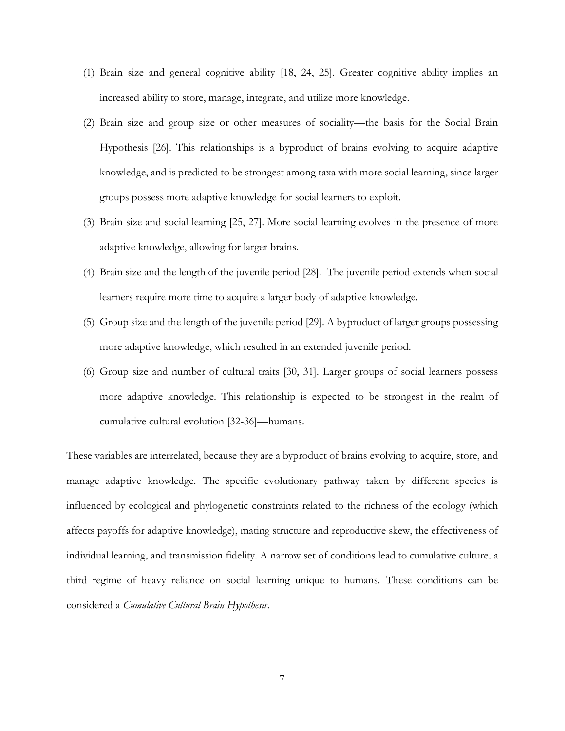- (1) Brain size and general cognitive ability [18, 24, 25]. Greater cognitive ability implies an increased ability to store, manage, integrate, and utilize more knowledge.
- (2) Brain size and group size or other measures of sociality—the basis for the Social Brain Hypothesis [26]. This relationships is a byproduct of brains evolving to acquire adaptive knowledge, and is predicted to be strongest among taxa with more social learning, since larger groups possess more adaptive knowledge for social learners to exploit.
- (3) Brain size and social learning [25, 27]. More social learning evolves in the presence of more adaptive knowledge, allowing for larger brains.
- (4) Brain size and the length of the juvenile period [28]. The juvenile period extends when social learners require more time to acquire a larger body of adaptive knowledge.
- (5) Group size and the length of the juvenile period [29]. A byproduct of larger groups possessing more adaptive knowledge, which resulted in an extended juvenile period.
- (6) Group size and number of cultural traits [30, 31]. Larger groups of social learners possess more adaptive knowledge. This relationship is expected to be strongest in the realm of cumulative cultural evolution [32-36]—humans.

These variables are interrelated, because they are a byproduct of brains evolving to acquire, store, and manage adaptive knowledge. The specific evolutionary pathway taken by different species is influenced by ecological and phylogenetic constraints related to the richness of the ecology (which affects payoffs for adaptive knowledge), mating structure and reproductive skew, the effectiveness of individual learning, and transmission fidelity. A narrow set of conditions lead to cumulative culture, a third regime of heavy reliance on social learning unique to humans. These conditions can be considered a *Cumulative Cultural Brain Hypothesis*.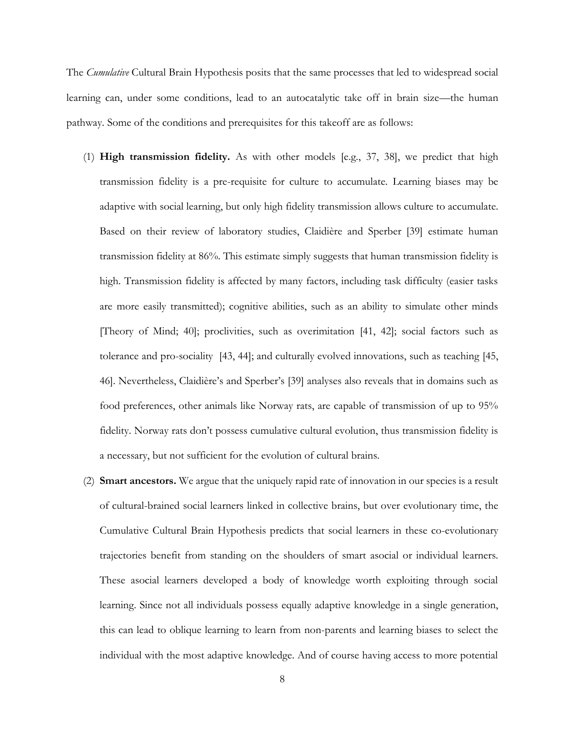The *Cumulative* Cultural Brain Hypothesis posits that the same processes that led to widespread social learning can, under some conditions, lead to an autocatalytic take off in brain size—the human pathway. Some of the conditions and prerequisites for this takeoff are as follows:

- (1) **High transmission fidelity.** As with other models [e.g., 37, 38], we predict that high transmission fidelity is a pre-requisite for culture to accumulate. Learning biases may be adaptive with social learning, but only high fidelity transmission allows culture to accumulate. Based on their review of laboratory studies, Claidière and Sperber [39] estimate human transmission fidelity at 86%. This estimate simply suggests that human transmission fidelity is high. Transmission fidelity is affected by many factors, including task difficulty (easier tasks are more easily transmitted); cognitive abilities, such as an ability to simulate other minds [Theory of Mind; 40]; proclivities, such as overimitation [41, 42]; social factors such as tolerance and pro-sociality [43, 44]; and culturally evolved innovations, such as teaching [45, 46]. Nevertheless, Claidière's and Sperber's [39] analyses also reveals that in domains such as food preferences, other animals like Norway rats, are capable of transmission of up to 95% fidelity. Norway rats don't possess cumulative cultural evolution, thus transmission fidelity is a necessary, but not sufficient for the evolution of cultural brains.
- (2) **Smart ancestors.** We argue that the uniquely rapid rate of innovation in our species is a result of cultural-brained social learners linked in collective brains, but over evolutionary time, the Cumulative Cultural Brain Hypothesis predicts that social learners in these co-evolutionary trajectories benefit from standing on the shoulders of smart asocial or individual learners. These asocial learners developed a body of knowledge worth exploiting through social learning. Since not all individuals possess equally adaptive knowledge in a single generation, this can lead to oblique learning to learn from non-parents and learning biases to select the individual with the most adaptive knowledge. And of course having access to more potential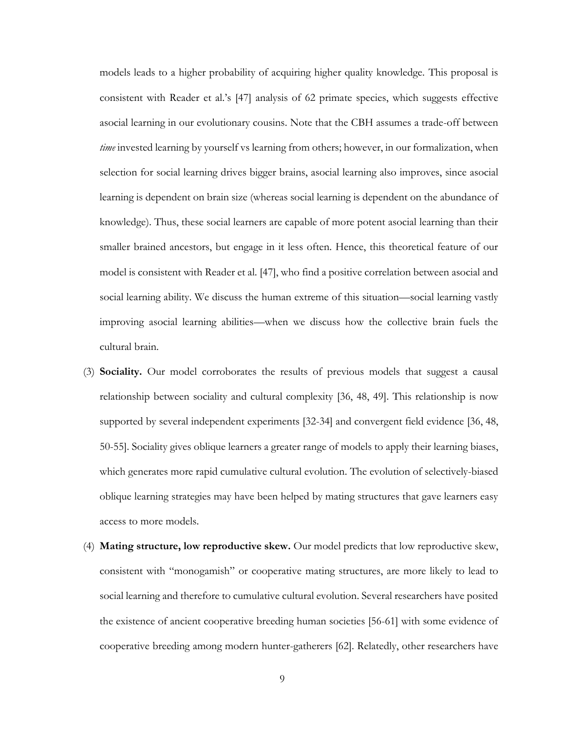models leads to a higher probability of acquiring higher quality knowledge. This proposal is consistent with Reader et al.'s [47] analysis of 62 primate species, which suggests effective asocial learning in our evolutionary cousins. Note that the CBH assumes a trade-off between *time* invested learning by yourself vs learning from others; however, in our formalization, when selection for social learning drives bigger brains, asocial learning also improves, since asocial learning is dependent on brain size (whereas social learning is dependent on the abundance of knowledge). Thus, these social learners are capable of more potent asocial learning than their smaller brained ancestors, but engage in it less often. Hence, this theoretical feature of our model is consistent with Reader et al. [47], who find a positive correlation between asocial and social learning ability. We discuss the human extreme of this situation—social learning vastly improving asocial learning abilities—when we discuss how the collective brain fuels the cultural brain.

- (3) **Sociality.** Our model corroborates the results of previous models that suggest a causal relationship between sociality and cultural complexity [36, 48, 49]. This relationship is now supported by several independent experiments [32-34] and convergent field evidence [36, 48, 50-55]. Sociality gives oblique learners a greater range of models to apply their learning biases, which generates more rapid cumulative cultural evolution. The evolution of selectively-biased oblique learning strategies may have been helped by mating structures that gave learners easy access to more models.
- (4) **Mating structure, low reproductive skew.** Our model predicts that low reproductive skew, consistent with "monogamish" or cooperative mating structures, are more likely to lead to social learning and therefore to cumulative cultural evolution. Several researchers have posited the existence of ancient cooperative breeding human societies [56-61] with some evidence of cooperative breeding among modern hunter-gatherers [62]. Relatedly, other researchers have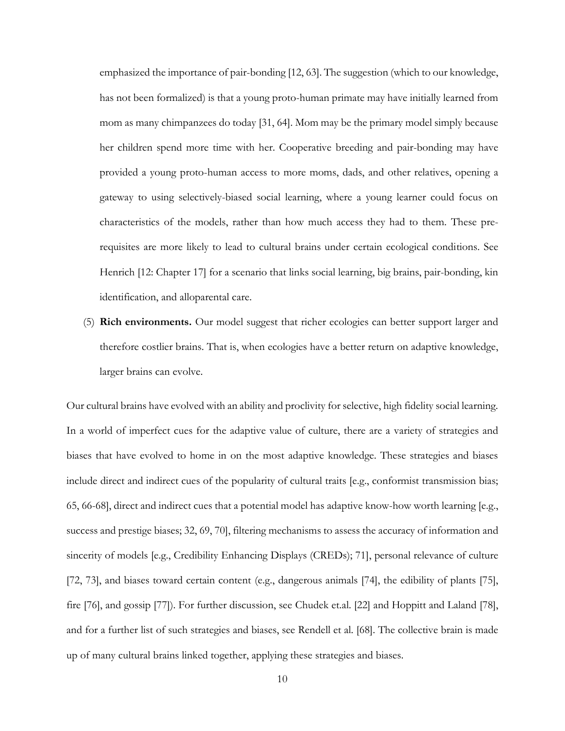emphasized the importance of pair-bonding [12, 63]. The suggestion (which to our knowledge, has not been formalized) is that a young proto-human primate may have initially learned from mom as many chimpanzees do today [31, 64]. Mom may be the primary model simply because her children spend more time with her. Cooperative breeding and pair-bonding may have provided a young proto-human access to more moms, dads, and other relatives, opening a gateway to using selectively-biased social learning, where a young learner could focus on characteristics of the models, rather than how much access they had to them. These prerequisites are more likely to lead to cultural brains under certain ecological conditions. See Henrich [12: Chapter 17] for a scenario that links social learning, big brains, pair-bonding, kin identification, and alloparental care.

(5) **Rich environments.** Our model suggest that richer ecologies can better support larger and therefore costlier brains. That is, when ecologies have a better return on adaptive knowledge, larger brains can evolve.

Our cultural brains have evolved with an ability and proclivity for selective, high fidelity social learning. In a world of imperfect cues for the adaptive value of culture, there are a variety of strategies and biases that have evolved to home in on the most adaptive knowledge. These strategies and biases include direct and indirect cues of the popularity of cultural traits [e.g., conformist transmission bias; 65, 66-68], direct and indirect cues that a potential model has adaptive know-how worth learning [e.g., success and prestige biases; 32, 69, 70], filtering mechanisms to assess the accuracy of information and sincerity of models [e.g., Credibility Enhancing Displays (CREDs); 71], personal relevance of culture [72, 73], and biases toward certain content (e.g., dangerous animals [74], the edibility of plants [75], fire [76], and gossip [77]). For further discussion, see Chudek et.al. [22] and Hoppitt and Laland [78], and for a further list of such strategies and biases, see Rendell et al. [68]. The collective brain is made up of many cultural brains linked together, applying these strategies and biases.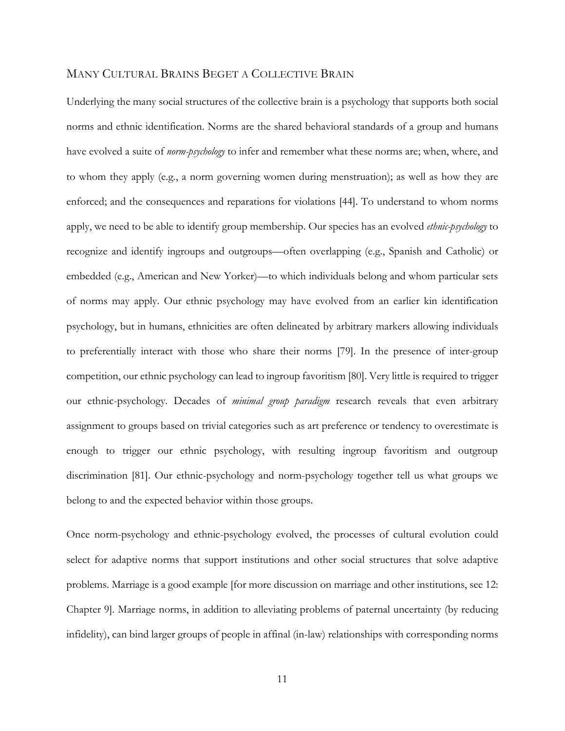#### MANY CULTURAL BRAINS BEGET A COLLECTIVE BRAIN

Underlying the many social structures of the collective brain is a psychology that supports both social norms and ethnic identification. Norms are the shared behavioral standards of a group and humans have evolved a suite of *norm-psychology* to infer and remember what these norms are; when, where, and to whom they apply (e.g., a norm governing women during menstruation); as well as how they are enforced; and the consequences and reparations for violations [44]. To understand to whom norms apply, we need to be able to identify group membership. Our species has an evolved *ethnic-psychology* to recognize and identify ingroups and outgroups—often overlapping (e.g., Spanish and Catholic) or embedded (e.g., American and New Yorker)—to which individuals belong and whom particular sets of norms may apply. Our ethnic psychology may have evolved from an earlier kin identification psychology, but in humans, ethnicities are often delineated by arbitrary markers allowing individuals to preferentially interact with those who share their norms [79]. In the presence of inter-group competition, our ethnic psychology can lead to ingroup favoritism [80]. Very little is required to trigger our ethnic-psychology. Decades of *minimal group paradigm* research reveals that even arbitrary assignment to groups based on trivial categories such as art preference or tendency to overestimate is enough to trigger our ethnic psychology, with resulting ingroup favoritism and outgroup discrimination [81]. Our ethnic-psychology and norm-psychology together tell us what groups we belong to and the expected behavior within those groups.

Once norm-psychology and ethnic-psychology evolved, the processes of cultural evolution could select for adaptive norms that support institutions and other social structures that solve adaptive problems. Marriage is a good example [for more discussion on marriage and other institutions, see 12: Chapter 9]. Marriage norms, in addition to alleviating problems of paternal uncertainty (by reducing infidelity), can bind larger groups of people in affinal (in-law) relationships with corresponding norms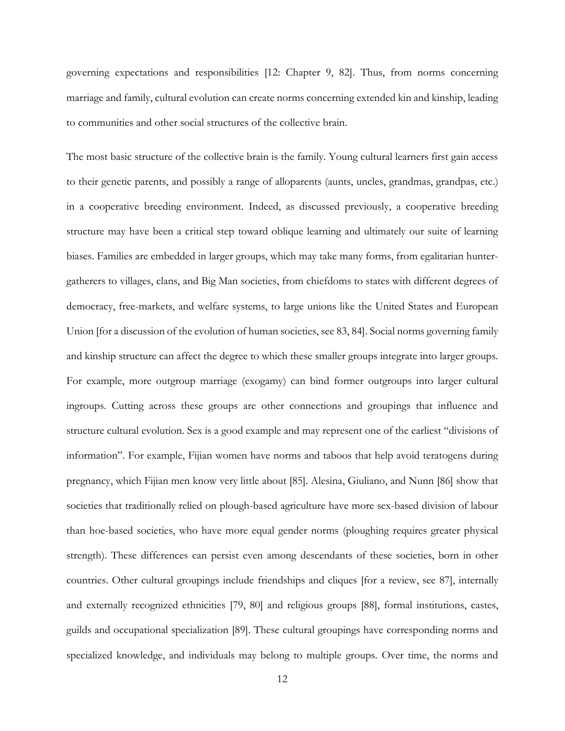governing expectations and responsibilities [12: Chapter 9, 82]. Thus, from norms concerning marriage and family, cultural evolution can create norms concerning extended kin and kinship, leading to communities and other social structures of the collective brain.

The most basic structure of the collective brain is the family. Young cultural learners first gain access to their genetic parents, and possibly a range of alloparents (aunts, uncles, grandmas, grandpas, etc.) in a cooperative breeding environment. Indeed, as discussed previously, a cooperative breeding structure may have been a critical step toward oblique learning and ultimately our suite of learning biases. Families are embedded in larger groups, which may take many forms, from egalitarian huntergatherers to villages, clans, and Big Man societies, from chiefdoms to states with different degrees of democracy, free-markets, and welfare systems, to large unions like the United States and European Union [for a discussion of the evolution of human societies, see 83, 84]. Social norms governing family and kinship structure can affect the degree to which these smaller groups integrate into larger groups. For example, more outgroup marriage (exogamy) can bind former outgroups into larger cultural ingroups. Cutting across these groups are other connections and groupings that influence and structure cultural evolution. Sex is a good example and may represent one of the earliest "divisions of information". For example, Fijian women have norms and taboos that help avoid teratogens during pregnancy, which Fijian men know very little about [85]. Alesina, Giuliano, and Nunn [86] show that societies that traditionally relied on plough-based agriculture have more sex-based division of labour than hoe-based societies, who have more equal gender norms (ploughing requires greater physical strength). These differences can persist even among descendants of these societies, born in other countries. Other cultural groupings include friendships and cliques [for a review, see 87], internally and externally recognized ethnicities [79, 80] and religious groups [88], formal institutions, castes, guilds and occupational specialization [89]. These cultural groupings have corresponding norms and specialized knowledge, and individuals may belong to multiple groups. Over time, the norms and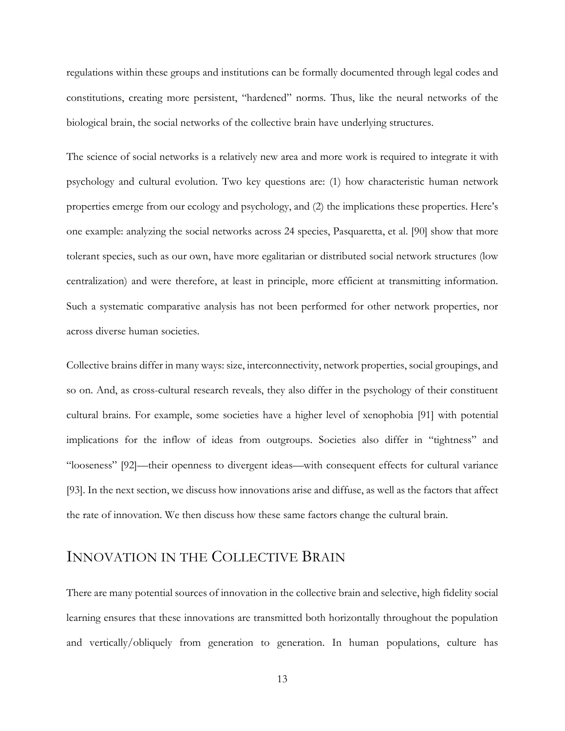regulations within these groups and institutions can be formally documented through legal codes and constitutions, creating more persistent, "hardened" norms. Thus, like the neural networks of the biological brain, the social networks of the collective brain have underlying structures.

The science of social networks is a relatively new area and more work is required to integrate it with psychology and cultural evolution. Two key questions are: (1) how characteristic human network properties emerge from our ecology and psychology, and (2) the implications these properties. Here's one example: analyzing the social networks across 24 species, Pasquaretta, et al. [90] show that more tolerant species, such as our own, have more egalitarian or distributed social network structures (low centralization) and were therefore, at least in principle, more efficient at transmitting information. Such a systematic comparative analysis has not been performed for other network properties, nor across diverse human societies.

Collective brains differ in many ways: size, interconnectivity, network properties, social groupings, and so on. And, as cross-cultural research reveals, they also differ in the psychology of their constituent cultural brains. For example, some societies have a higher level of xenophobia [91] with potential implications for the inflow of ideas from outgroups. Societies also differ in "tightness" and "looseness" [92]—their openness to divergent ideas—with consequent effects for cultural variance [93]. In the next section, we discuss how innovations arise and diffuse, as well as the factors that affect the rate of innovation. We then discuss how these same factors change the cultural brain.

## INNOVATION IN THE COLLECTIVE BRAIN

There are many potential sources of innovation in the collective brain and selective, high fidelity social learning ensures that these innovations are transmitted both horizontally throughout the population and vertically/obliquely from generation to generation. In human populations, culture has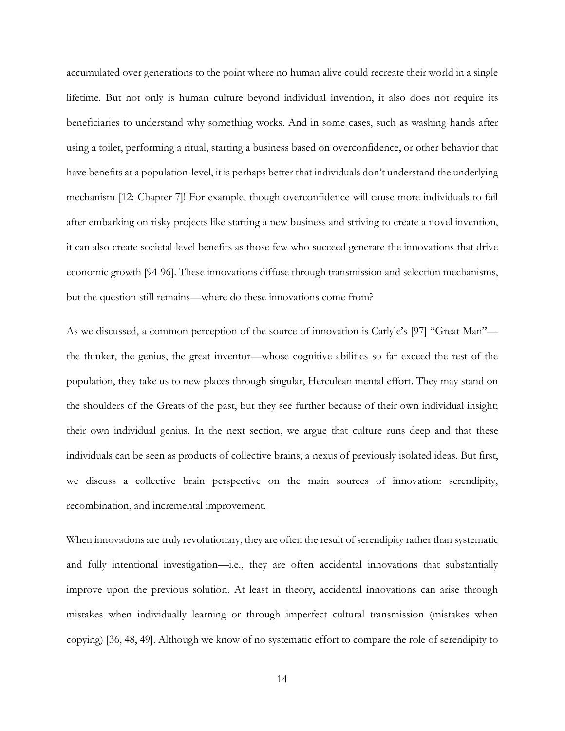accumulated over generations to the point where no human alive could recreate their world in a single lifetime. But not only is human culture beyond individual invention, it also does not require its beneficiaries to understand why something works. And in some cases, such as washing hands after using a toilet, performing a ritual, starting a business based on overconfidence, or other behavior that have benefits at a population-level, it is perhaps better that individuals don't understand the underlying mechanism [12: Chapter 7]! For example, though overconfidence will cause more individuals to fail after embarking on risky projects like starting a new business and striving to create a novel invention, it can also create societal-level benefits as those few who succeed generate the innovations that drive economic growth [94-96]. These innovations diffuse through transmission and selection mechanisms, but the question still remains—where do these innovations come from?

As we discussed, a common perception of the source of innovation is Carlyle's [97] "Great Man" the thinker, the genius, the great inventor—whose cognitive abilities so far exceed the rest of the population, they take us to new places through singular, Herculean mental effort. They may stand on the shoulders of the Greats of the past, but they see further because of their own individual insight; their own individual genius. In the next section, we argue that culture runs deep and that these individuals can be seen as products of collective brains; a nexus of previously isolated ideas. But first, we discuss a collective brain perspective on the main sources of innovation: serendipity, recombination, and incremental improvement.

When innovations are truly revolutionary, they are often the result of serendipity rather than systematic and fully intentional investigation—i.e., they are often accidental innovations that substantially improve upon the previous solution. At least in theory, accidental innovations can arise through mistakes when individually learning or through imperfect cultural transmission (mistakes when copying) [36, 48, 49]. Although we know of no systematic effort to compare the role of serendipity to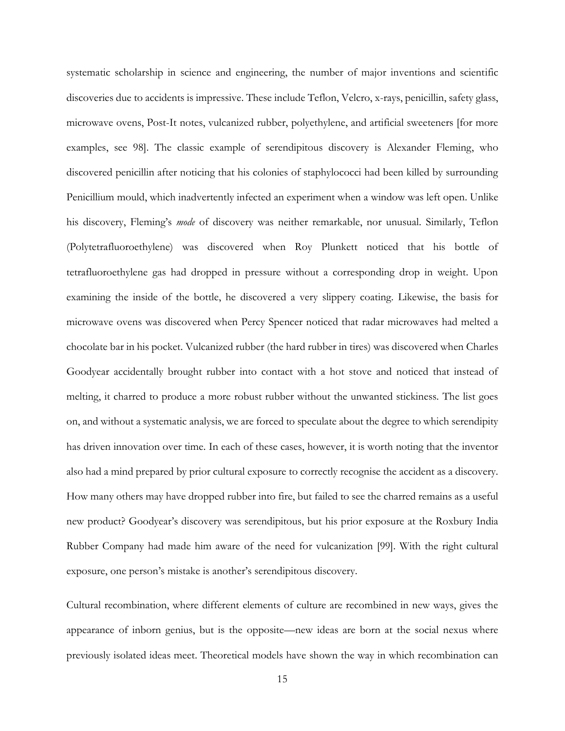systematic scholarship in science and engineering, the number of major inventions and scientific discoveries due to accidents is impressive. These include Teflon, Velcro, x-rays, penicillin, safety glass, microwave ovens, Post-It notes, vulcanized rubber, polyethylene, and artificial sweeteners [for more examples, see 98]. The classic example of serendipitous discovery is Alexander Fleming, who discovered penicillin after noticing that his colonies of staphylococci had been killed by surrounding Penicillium mould, which inadvertently infected an experiment when a window was left open. Unlike his discovery, Fleming's *mode* of discovery was neither remarkable, nor unusual. Similarly, Teflon (Polytetrafluoroethylene) was discovered when Roy Plunkett noticed that his bottle of tetrafluoroethylene gas had dropped in pressure without a corresponding drop in weight. Upon examining the inside of the bottle, he discovered a very slippery coating. Likewise, the basis for microwave ovens was discovered when Percy Spencer noticed that radar microwaves had melted a chocolate bar in his pocket. Vulcanized rubber (the hard rubber in tires) was discovered when Charles Goodyear accidentally brought rubber into contact with a hot stove and noticed that instead of melting, it charred to produce a more robust rubber without the unwanted stickiness. The list goes on, and without a systematic analysis, we are forced to speculate about the degree to which serendipity has driven innovation over time. In each of these cases, however, it is worth noting that the inventor also had a mind prepared by prior cultural exposure to correctly recognise the accident as a discovery. How many others may have dropped rubber into fire, but failed to see the charred remains as a useful new product? Goodyear's discovery was serendipitous, but his prior exposure at the Roxbury India Rubber Company had made him aware of the need for vulcanization [99]. With the right cultural exposure, one person's mistake is another's serendipitous discovery.

Cultural recombination, where different elements of culture are recombined in new ways, gives the appearance of inborn genius, but is the opposite—new ideas are born at the social nexus where previously isolated ideas meet. Theoretical models have shown the way in which recombination can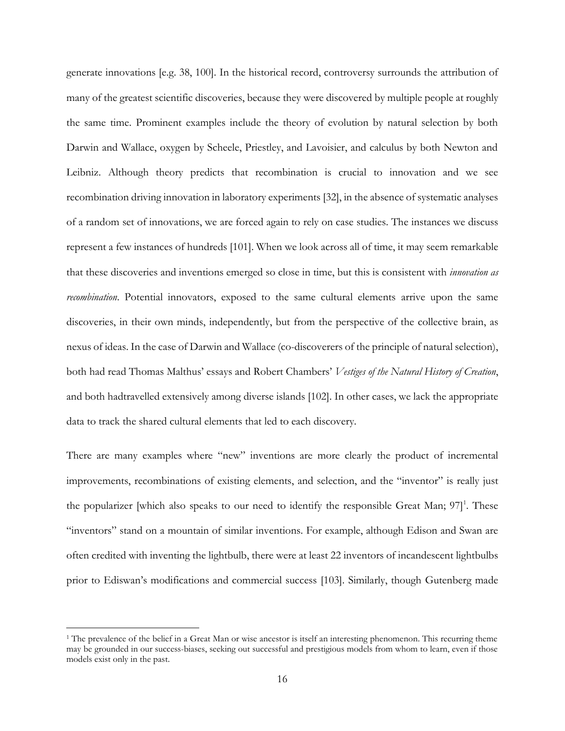generate innovations [e.g. 38, 100]. In the historical record, controversy surrounds the attribution of many of the greatest scientific discoveries, because they were discovered by multiple people at roughly the same time. Prominent examples include the theory of evolution by natural selection by both Darwin and Wallace, oxygen by Scheele, Priestley, and Lavoisier, and calculus by both Newton and Leibniz. Although theory predicts that recombination is crucial to innovation and we see recombination driving innovation in laboratory experiments [32], in the absence of systematic analyses of a random set of innovations, we are forced again to rely on case studies. The instances we discuss represent a few instances of hundreds [101]. When we look across all of time, it may seem remarkable that these discoveries and inventions emerged so close in time, but this is consistent with *innovation as recombination*. Potential innovators, exposed to the same cultural elements arrive upon the same discoveries, in their own minds, independently, but from the perspective of the collective brain, as nexus of ideas. In the case of Darwin and Wallace (co-discoverers of the principle of natural selection), both had read Thomas Malthus' essays and Robert Chambers' *Vestiges of the Natural History of Creation*, and both hadtravelled extensively among diverse islands [102]. In other cases, we lack the appropriate data to track the shared cultural elements that led to each discovery.

There are many examples where "new" inventions are more clearly the product of incremental improvements, recombinations of existing elements, and selection, and the "inventor" is really just the popularizer [which also speaks to our need to identify the responsible Great Man;  $97$ ]<sup>1</sup>. These "inventors" stand on a mountain of similar inventions. For example, although Edison and Swan are often credited with inventing the lightbulb, there were at least 22 inventors of incandescent lightbulbs prior to Ediswan's modifications and commercial success [103]. Similarly, though Gutenberg made

 $\overline{a}$ 

<sup>&</sup>lt;sup>1</sup> The prevalence of the belief in a Great Man or wise ancestor is itself an interesting phenomenon. This recurring theme may be grounded in our success-biases, seeking out successful and prestigious models from whom to learn, even if those models exist only in the past.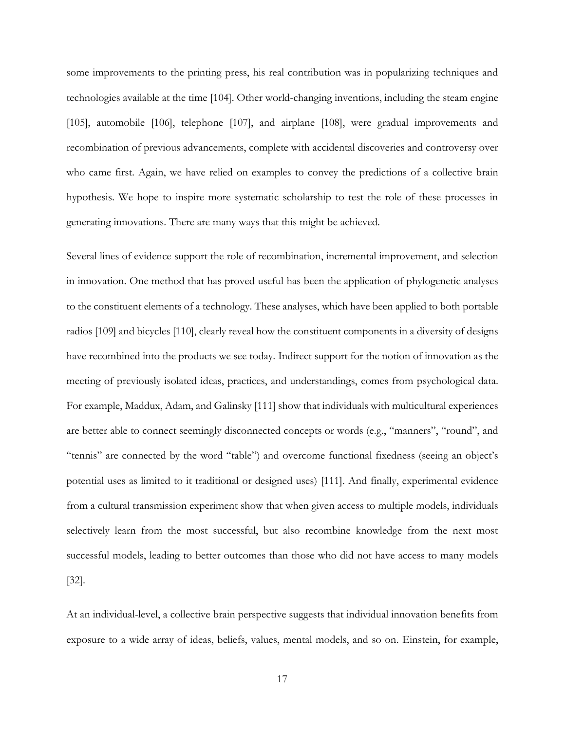some improvements to the printing press, his real contribution was in popularizing techniques and technologies available at the time [104]. Other world-changing inventions, including the steam engine [105], automobile [106], telephone [107], and airplane [108], were gradual improvements and recombination of previous advancements, complete with accidental discoveries and controversy over who came first. Again, we have relied on examples to convey the predictions of a collective brain hypothesis. We hope to inspire more systematic scholarship to test the role of these processes in generating innovations. There are many ways that this might be achieved.

Several lines of evidence support the role of recombination, incremental improvement, and selection in innovation. One method that has proved useful has been the application of phylogenetic analyses to the constituent elements of a technology. These analyses, which have been applied to both portable radios [109] and bicycles [110], clearly reveal how the constituent components in a diversity of designs have recombined into the products we see today. Indirect support for the notion of innovation as the meeting of previously isolated ideas, practices, and understandings, comes from psychological data. For example, Maddux, Adam, and Galinsky [111] show that individuals with multicultural experiences are better able to connect seemingly disconnected concepts or words (e.g., "manners", "round", and "tennis" are connected by the word "table") and overcome functional fixedness (seeing an object's potential uses as limited to it traditional or designed uses) [111]. And finally, experimental evidence from a cultural transmission experiment show that when given access to multiple models, individuals selectively learn from the most successful, but also recombine knowledge from the next most successful models, leading to better outcomes than those who did not have access to many models [32].

At an individual-level, a collective brain perspective suggests that individual innovation benefits from exposure to a wide array of ideas, beliefs, values, mental models, and so on. Einstein, for example,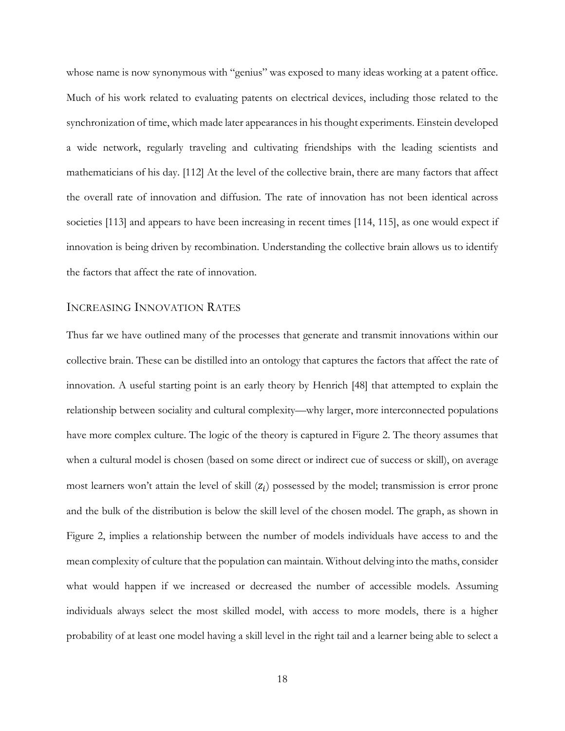whose name is now synonymous with "genius" was exposed to many ideas working at a patent office. Much of his work related to evaluating patents on electrical devices, including those related to the synchronization of time, which made later appearances in his thought experiments. Einstein developed a wide network, regularly traveling and cultivating friendships with the leading scientists and mathematicians of his day. [112] At the level of the collective brain, there are many factors that affect the overall rate of innovation and diffusion. The rate of innovation has not been identical across societies [113] and appears to have been increasing in recent times [114, 115], as one would expect if innovation is being driven by recombination. Understanding the collective brain allows us to identify the factors that affect the rate of innovation.

#### INCREASING INNOVATION RATES

Thus far we have outlined many of the processes that generate and transmit innovations within our collective brain. These can be distilled into an ontology that captures the factors that affect the rate of innovation. A useful starting point is an early theory by Henrich [48] that attempted to explain the relationship between sociality and cultural complexity—why larger, more interconnected populations have more complex culture. The logic of the theory is captured in [Figure 2.](#page-18-0) The theory assumes that when a cultural model is chosen (based on some direct or indirect cue of success or skill), on average most learners won't attain the level of skill  $(z<sub>i</sub>)$  possessed by the model; transmission is error prone and the bulk of the distribution is below the skill level of the chosen model. The graph, as shown in [Figure 2,](#page-18-0) implies a relationship between the number of models individuals have access to and the mean complexity of culture that the population can maintain. Without delving into the maths, consider what would happen if we increased or decreased the number of accessible models. Assuming individuals always select the most skilled model, with access to more models, there is a higher probability of at least one model having a skill level in the right tail and a learner being able to select a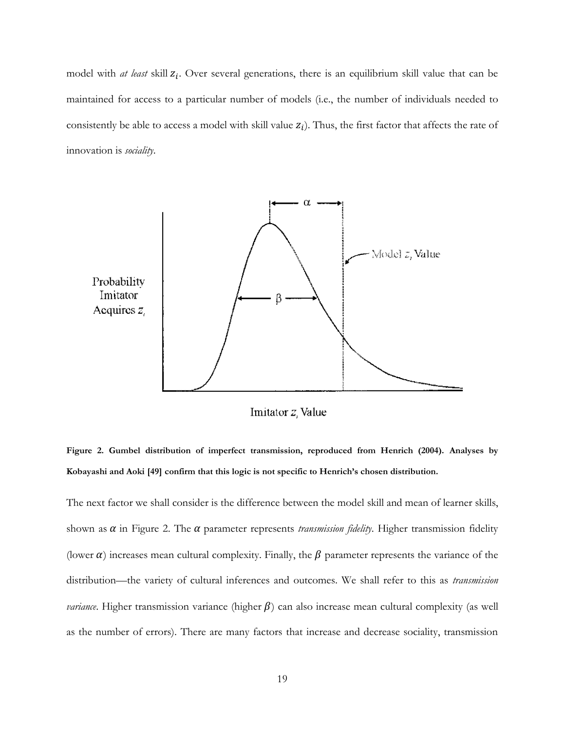model with *at least* skill  $z_i$ . Over several generations, there is an equilibrium skill value that can be maintained for access to a particular number of models (i.e., the number of individuals needed to consistently be able to access a model with skill value  $z_i$ ). Thus, the first factor that affects the rate of innovation is *sociality*.



Imitator z, Value

<span id="page-18-0"></span>**Figure 2. Gumbel distribution of imperfect transmission, reproduced from Henrich (2004). Analyses by Kobayashi and Aoki [49] confirm that this logic is not specific to Henrich's chosen distribution.**

The next factor we shall consider is the difference between the model skill and mean of learner skills, shown as  $\alpha$  in [Figure 2.](#page-18-0) The  $\alpha$  parameter represents *transmission fidelity*. Higher transmission fidelity (lower  $\alpha$ ) increases mean cultural complexity. Finally, the  $\beta$  parameter represents the variance of the distribution—the variety of cultural inferences and outcomes. We shall refer to this as *transmission variance*. Higher transmission variance (higher  $\beta$ ) can also increase mean cultural complexity (as well as the number of errors). There are many factors that increase and decrease sociality, transmission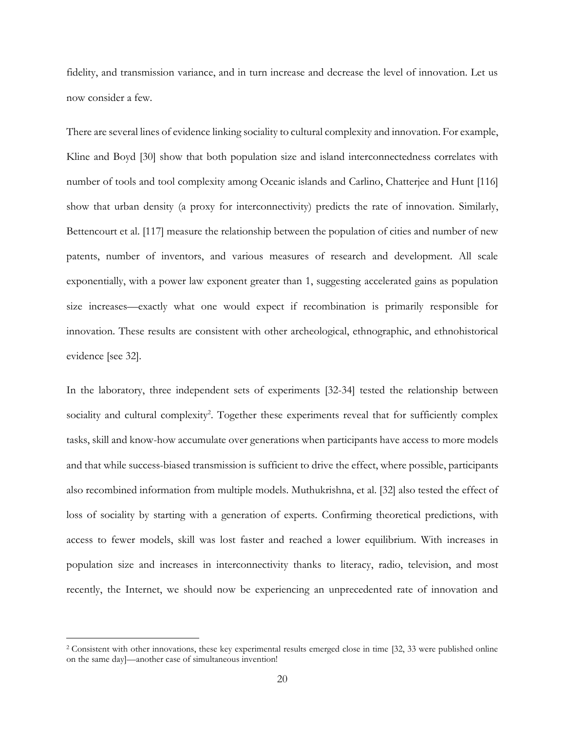fidelity, and transmission variance, and in turn increase and decrease the level of innovation. Let us now consider a few.

There are several lines of evidence linking sociality to cultural complexity and innovation. For example, Kline and Boyd [30] show that both population size and island interconnectedness correlates with number of tools and tool complexity among Oceanic islands and Carlino, Chatterjee and Hunt [116] show that urban density (a proxy for interconnectivity) predicts the rate of innovation. Similarly, Bettencourt et al. [117] measure the relationship between the population of cities and number of new patents, number of inventors, and various measures of research and development. All scale exponentially, with a power law exponent greater than 1, suggesting accelerated gains as population size increases—exactly what one would expect if recombination is primarily responsible for innovation. These results are consistent with other archeological, ethnographic, and ethnohistorical evidence [see 32].

In the laboratory, three independent sets of experiments [32-34] tested the relationship between sociality and cultural complexity<sup>2</sup>. Together these experiments reveal that for sufficiently complex tasks, skill and know-how accumulate over generations when participants have access to more models and that while success-biased transmission is sufficient to drive the effect, where possible, participants also recombined information from multiple models. Muthukrishna, et al. [32] also tested the effect of loss of sociality by starting with a generation of experts. Confirming theoretical predictions, with access to fewer models, skill was lost faster and reached a lower equilibrium. With increases in population size and increases in interconnectivity thanks to literacy, radio, television, and most recently, the Internet, we should now be experiencing an unprecedented rate of innovation and

 $\overline{a}$ 

<sup>&</sup>lt;sup>2</sup> Consistent with other innovations, these key experimental results emerged close in time [32, 33 were published online on the same day]—another case of simultaneous invention!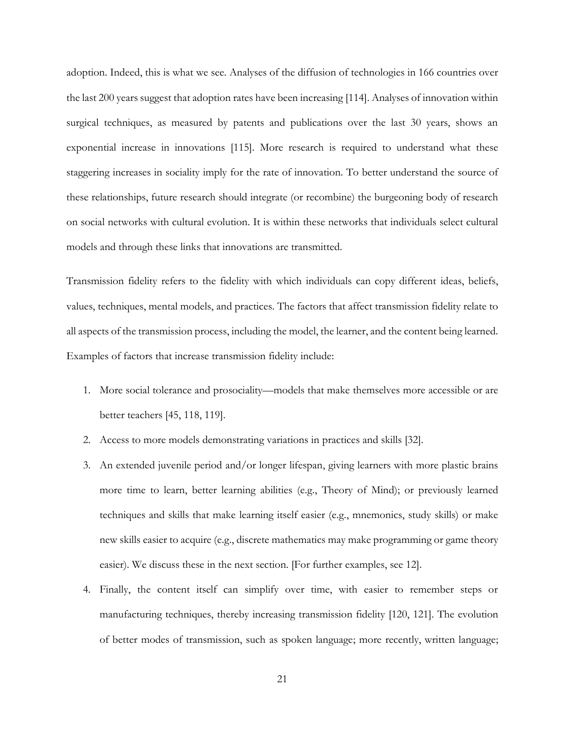adoption. Indeed, this is what we see. Analyses of the diffusion of technologies in 166 countries over the last 200 years suggest that adoption rates have been increasing [114]. Analyses of innovation within surgical techniques, as measured by patents and publications over the last 30 years, shows an exponential increase in innovations [115]. More research is required to understand what these staggering increases in sociality imply for the rate of innovation. To better understand the source of these relationships, future research should integrate (or recombine) the burgeoning body of research on social networks with cultural evolution. It is within these networks that individuals select cultural models and through these links that innovations are transmitted.

Transmission fidelity refers to the fidelity with which individuals can copy different ideas, beliefs, values, techniques, mental models, and practices. The factors that affect transmission fidelity relate to all aspects of the transmission process, including the model, the learner, and the content being learned. Examples of factors that increase transmission fidelity include:

- 1. More social tolerance and prosociality—models that make themselves more accessible or are better teachers [45, 118, 119].
- 2. Access to more models demonstrating variations in practices and skills [32].
- 3. An extended juvenile period and/or longer lifespan, giving learners with more plastic brains more time to learn, better learning abilities (e.g., Theory of Mind); or previously learned techniques and skills that make learning itself easier (e.g., mnemonics, study skills) or make new skills easier to acquire (e.g., discrete mathematics may make programming or game theory easier). We discuss these in the next section. [For further examples, see 12].
- 4. Finally, the content itself can simplify over time, with easier to remember steps or manufacturing techniques, thereby increasing transmission fidelity [120, 121]. The evolution of better modes of transmission, such as spoken language; more recently, written language;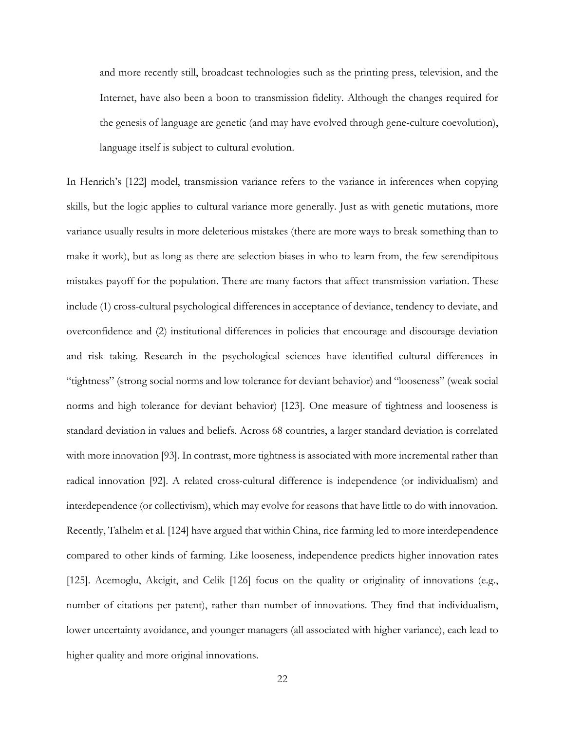and more recently still, broadcast technologies such as the printing press, television, and the Internet, have also been a boon to transmission fidelity. Although the changes required for the genesis of language are genetic (and may have evolved through gene-culture coevolution), language itself is subject to cultural evolution.

In Henrich's [122] model, transmission variance refers to the variance in inferences when copying skills, but the logic applies to cultural variance more generally. Just as with genetic mutations, more variance usually results in more deleterious mistakes (there are more ways to break something than to make it work), but as long as there are selection biases in who to learn from, the few serendipitous mistakes payoff for the population. There are many factors that affect transmission variation. These include (1) cross-cultural psychological differences in acceptance of deviance, tendency to deviate, and overconfidence and (2) institutional differences in policies that encourage and discourage deviation and risk taking. Research in the psychological sciences have identified cultural differences in "tightness" (strong social norms and low tolerance for deviant behavior) and "looseness" (weak social norms and high tolerance for deviant behavior) [123]. One measure of tightness and looseness is standard deviation in values and beliefs. Across 68 countries, a larger standard deviation is correlated with more innovation [93]. In contrast, more tightness is associated with more incremental rather than radical innovation [92]. A related cross-cultural difference is independence (or individualism) and interdependence (or collectivism), which may evolve for reasons that have little to do with innovation. Recently, Talhelm et al. [124] have argued that within China, rice farming led to more interdependence compared to other kinds of farming. Like looseness, independence predicts higher innovation rates [125]. Acemoglu, Akcigit, and Celik [126] focus on the quality or originality of innovations (e.g., number of citations per patent), rather than number of innovations. They find that individualism, lower uncertainty avoidance, and younger managers (all associated with higher variance), each lead to higher quality and more original innovations.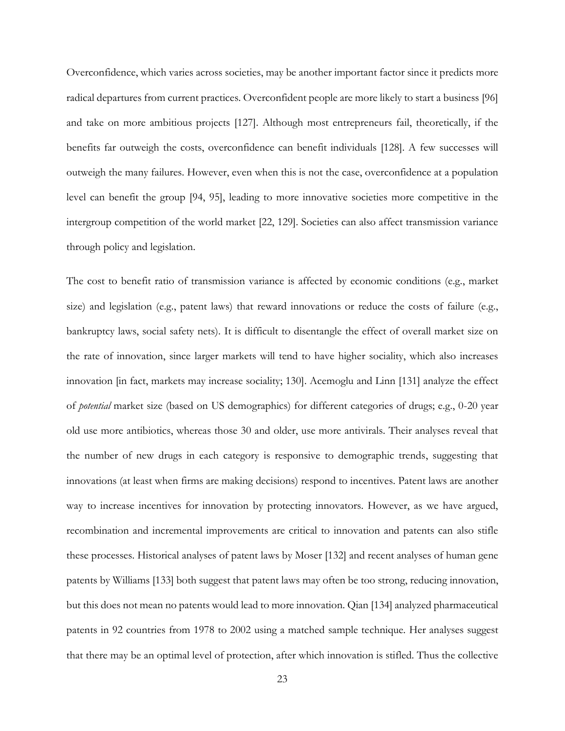Overconfidence, which varies across societies, may be another important factor since it predicts more radical departures from current practices. Overconfident people are more likely to start a business [96] and take on more ambitious projects [127]. Although most entrepreneurs fail, theoretically, if the benefits far outweigh the costs, overconfidence can benefit individuals [128]. A few successes will outweigh the many failures. However, even when this is not the case, overconfidence at a population level can benefit the group [94, 95], leading to more innovative societies more competitive in the intergroup competition of the world market [22, 129]. Societies can also affect transmission variance through policy and legislation.

The cost to benefit ratio of transmission variance is affected by economic conditions (e.g., market size) and legislation (e.g., patent laws) that reward innovations or reduce the costs of failure (e.g., bankruptcy laws, social safety nets). It is difficult to disentangle the effect of overall market size on the rate of innovation, since larger markets will tend to have higher sociality, which also increases innovation [in fact, markets may increase sociality; 130]. Acemoglu and Linn [131] analyze the effect of *potential* market size (based on US demographics) for different categories of drugs; e.g., 0-20 year old use more antibiotics, whereas those 30 and older, use more antivirals. Their analyses reveal that the number of new drugs in each category is responsive to demographic trends, suggesting that innovations (at least when firms are making decisions) respond to incentives. Patent laws are another way to increase incentives for innovation by protecting innovators. However, as we have argued, recombination and incremental improvements are critical to innovation and patents can also stifle these processes. Historical analyses of patent laws by Moser [132] and recent analyses of human gene patents by Williams [133] both suggest that patent laws may often be too strong, reducing innovation, but this does not mean no patents would lead to more innovation. Qian [134] analyzed pharmaceutical patents in 92 countries from 1978 to 2002 using a matched sample technique. Her analyses suggest that there may be an optimal level of protection, after which innovation is stifled. Thus the collective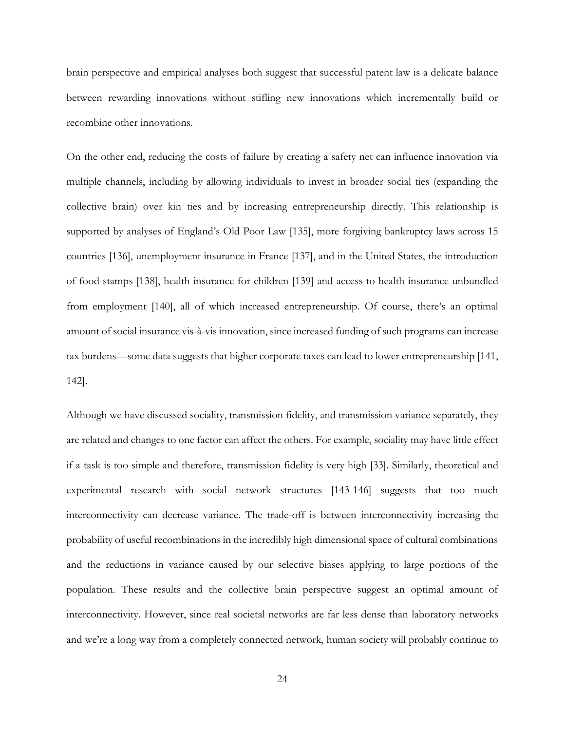brain perspective and empirical analyses both suggest that successful patent law is a delicate balance between rewarding innovations without stifling new innovations which incrementally build or recombine other innovations.

On the other end, reducing the costs of failure by creating a safety net can influence innovation via multiple channels, including by allowing individuals to invest in broader social ties (expanding the collective brain) over kin ties and by increasing entrepreneurship directly. This relationship is supported by analyses of England's Old Poor Law [135], more forgiving bankruptcy laws across 15 countries [136], unemployment insurance in France [137], and in the United States, the introduction of food stamps [138], health insurance for children [139] and access to health insurance unbundled from employment [140], all of which increased entrepreneurship. Of course, there's an optimal amount of social insurance vis-à-vis innovation, since increased funding of such programs can increase tax burdens—some data suggests that higher corporate taxes can lead to lower entrepreneurship [141, 142].

Although we have discussed sociality, transmission fidelity, and transmission variance separately, they are related and changes to one factor can affect the others. For example, sociality may have little effect if a task is too simple and therefore, transmission fidelity is very high [33]. Similarly, theoretical and experimental research with social network structures [143-146] suggests that too much interconnectivity can decrease variance. The trade-off is between interconnectivity increasing the probability of useful recombinations in the incredibly high dimensional space of cultural combinations and the reductions in variance caused by our selective biases applying to large portions of the population. These results and the collective brain perspective suggest an optimal amount of interconnectivity. However, since real societal networks are far less dense than laboratory networks and we're a long way from a completely connected network, human society will probably continue to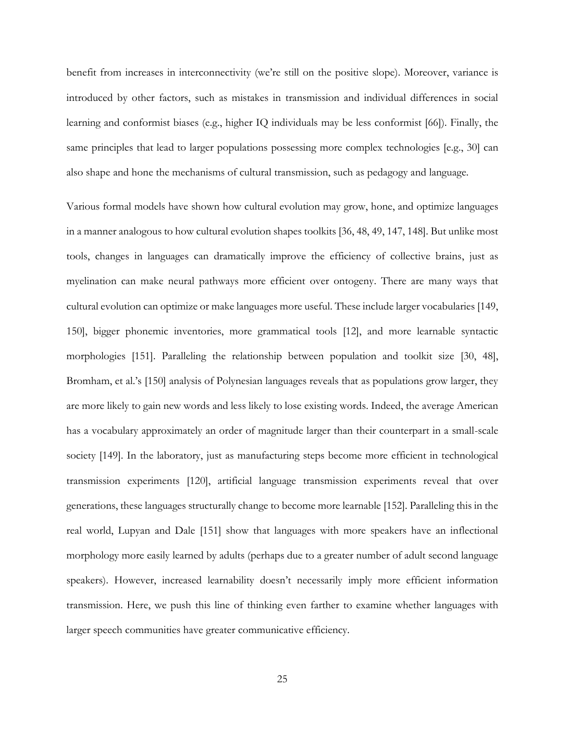benefit from increases in interconnectivity (we're still on the positive slope). Moreover, variance is introduced by other factors, such as mistakes in transmission and individual differences in social learning and conformist biases (e.g., higher IQ individuals may be less conformist [66]). Finally, the same principles that lead to larger populations possessing more complex technologies [e.g., 30] can also shape and hone the mechanisms of cultural transmission, such as pedagogy and language.

Various formal models have shown how cultural evolution may grow, hone, and optimize languages in a manner analogous to how cultural evolution shapes toolkits [36, 48, 49, 147, 148]. But unlike most tools, changes in languages can dramatically improve the efficiency of collective brains, just as myelination can make neural pathways more efficient over ontogeny. There are many ways that cultural evolution can optimize or make languages more useful. These include larger vocabularies [149, 150], bigger phonemic inventories, more grammatical tools [12], and more learnable syntactic morphologies [151]. Paralleling the relationship between population and toolkit size [30, 48], Bromham, et al.'s [150] analysis of Polynesian languages reveals that as populations grow larger, they are more likely to gain new words and less likely to lose existing words. Indeed, the average American has a vocabulary approximately an order of magnitude larger than their counterpart in a small-scale society [149]. In the laboratory, just as manufacturing steps become more efficient in technological transmission experiments [120], artificial language transmission experiments reveal that over generations, these languages structurally change to become more learnable [152]. Paralleling this in the real world, Lupyan and Dale [151] show that languages with more speakers have an inflectional morphology more easily learned by adults (perhaps due to a greater number of adult second language speakers). However, increased learnability doesn't necessarily imply more efficient information transmission. Here, we push this line of thinking even farther to examine whether languages with larger speech communities have greater communicative efficiency.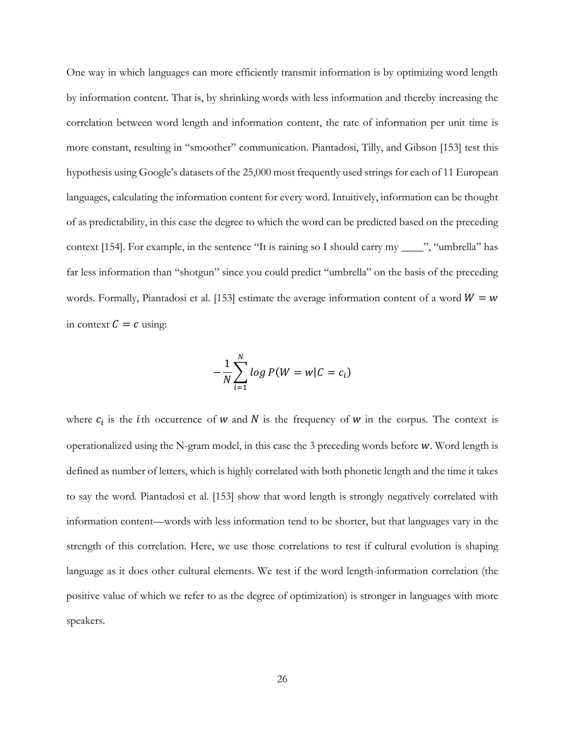One way in which languages can more efficiently transmit information is by optimizing word length by information content. That is, by shrinking words with less information and thereby increasing the correlation between word length and information content, the rate of information per unit time is more constant, resulting in "smoother" communication. Piantadosi, Tilly, and Gibson [153] test this hypothesis using Google's datasets of the 25,000 most frequently used strings for each of 11 European languages, calculating the information content for every word. Intuitively, information can be thought of as predictability, in this case the degree to which the word can be predicted based on the preceding context [154]. For example, in the sentence "It is raining so I should carry my \_\_\_\_", "umbrella" has far less information than "shotgun" since you could predict "umbrella" on the basis of the preceding words. Formally, Piantadosi et al. [153] estimate the average information content of a word  $W = w$ in context  $C = c$  using:

$$
-\frac{1}{N}\sum_{i=1}^N \log P(W = w|C = c_i)
$$

where  $c_i$  is the *i*th occurrence of *w* and *N* is the frequency of *w* in the corpus. The context is operationalized using the N-gram model, in this case the 3 preceding words before  $w$ . Word length is defined as number of letters, which is highly correlated with both phonetic length and the time it takes to say the word. Piantadosi et al. [153] show that word length is strongly negatively correlated with information content—words with less information tend to be shorter, but that languages vary in the strength of this correlation. Here, we use those correlations to test if cultural evolution is shaping language as it does other cultural elements. We test if the word length-information correlation (the positive value of which we refer to as the degree of optimization) is stronger in languages with more speakers.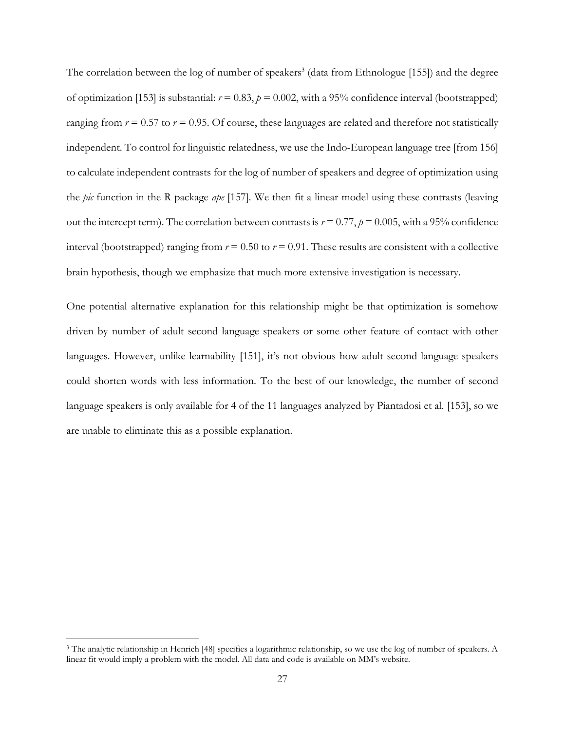The correlation between the log of number of speakers<sup>3</sup> (data from Ethnologue [155]) and the degree of optimization [153] is substantial:  $r = 0.83$ ,  $p = 0.002$ , with a 95% confidence interval (bootstrapped) ranging from  $r = 0.57$  to  $r = 0.95$ . Of course, these languages are related and therefore not statistically independent. To control for linguistic relatedness, we use the Indo-European language tree [from 156] to calculate independent contrasts for the log of number of speakers and degree of optimization using the *pic* function in the R package *ape* [157]*.* We then fit a linear model using these contrasts (leaving out the intercept term). The correlation between contrasts is  $r = 0.77$ ,  $p = 0.005$ , with a 95% confidence interval (bootstrapped) ranging from  $r = 0.50$  to  $r = 0.91$ . These results are consistent with a collective brain hypothesis, though we emphasize that much more extensive investigation is necessary.

One potential alternative explanation for this relationship might be that optimization is somehow driven by number of adult second language speakers or some other feature of contact with other languages. However, unlike learnability [151], it's not obvious how adult second language speakers could shorten words with less information. To the best of our knowledge, the number of second language speakers is only available for 4 of the 11 languages analyzed by Piantadosi et al. [153], so we are unable to eliminate this as a possible explanation.

 $\overline{a}$ 

<sup>&</sup>lt;sup>3</sup> The analytic relationship in Henrich [48] specifies a logarithmic relationship, so we use the log of number of speakers. A linear fit would imply a problem with the model. All data and code is available on MM's website.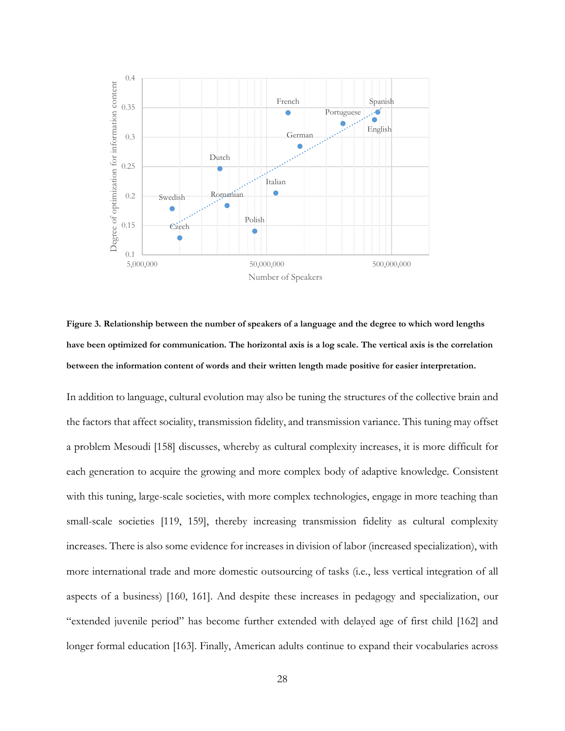

**Figure 3. Relationship between the number of speakers of a language and the degree to which word lengths have been optimized for communication. The horizontal axis is a log scale. The vertical axis is the correlation between the information content of words and their written length made positive for easier interpretation.**

In addition to language, cultural evolution may also be tuning the structures of the collective brain and the factors that affect sociality, transmission fidelity, and transmission variance. This tuning may offset a problem Mesoudi [158] discusses, whereby as cultural complexity increases, it is more difficult for each generation to acquire the growing and more complex body of adaptive knowledge. Consistent with this tuning, large-scale societies, with more complex technologies, engage in more teaching than small-scale societies [119, 159], thereby increasing transmission fidelity as cultural complexity increases. There is also some evidence for increases in division of labor (increased specialization), with more international trade and more domestic outsourcing of tasks (i.e., less vertical integration of all aspects of a business) [160, 161]. And despite these increases in pedagogy and specialization, our "extended juvenile period" has become further extended with delayed age of first child [162] and longer formal education [163]. Finally, American adults continue to expand their vocabularies across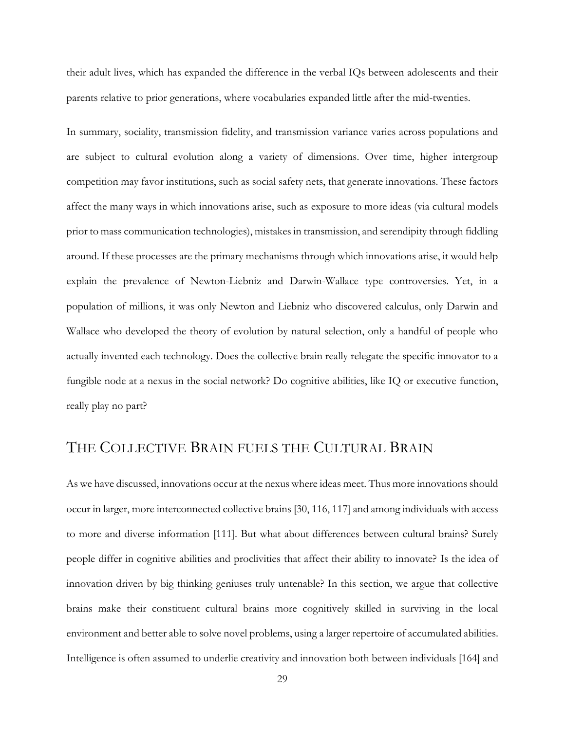their adult lives, which has expanded the difference in the verbal IQs between adolescents and their parents relative to prior generations, where vocabularies expanded little after the mid-twenties.

In summary, sociality, transmission fidelity, and transmission variance varies across populations and are subject to cultural evolution along a variety of dimensions. Over time, higher intergroup competition may favor institutions, such as social safety nets, that generate innovations. These factors affect the many ways in which innovations arise, such as exposure to more ideas (via cultural models prior to mass communication technologies), mistakes in transmission, and serendipity through fiddling around. If these processes are the primary mechanisms through which innovations arise, it would help explain the prevalence of Newton-Liebniz and Darwin-Wallace type controversies. Yet, in a population of millions, it was only Newton and Liebniz who discovered calculus, only Darwin and Wallace who developed the theory of evolution by natural selection, only a handful of people who actually invented each technology. Does the collective brain really relegate the specific innovator to a fungible node at a nexus in the social network? Do cognitive abilities, like IQ or executive function, really play no part?

## THE COLLECTIVE BRAIN FUELS THE CULTURAL BRAIN

As we have discussed, innovations occur at the nexus where ideas meet. Thus more innovations should occur in larger, more interconnected collective brains [30, 116, 117] and among individuals with access to more and diverse information [111]. But what about differences between cultural brains? Surely people differ in cognitive abilities and proclivities that affect their ability to innovate? Is the idea of innovation driven by big thinking geniuses truly untenable? In this section, we argue that collective brains make their constituent cultural brains more cognitively skilled in surviving in the local environment and better able to solve novel problems, using a larger repertoire of accumulated abilities. Intelligence is often assumed to underlie creativity and innovation both between individuals [164] and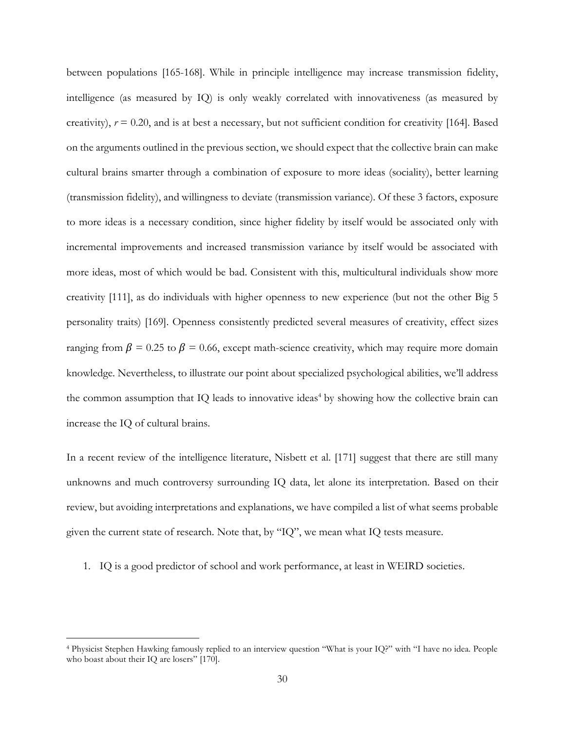between populations [165-168]. While in principle intelligence may increase transmission fidelity, intelligence (as measured by IQ) is only weakly correlated with innovativeness (as measured by creativity),  $r = 0.20$ , and is at best a necessary, but not sufficient condition for creativity [164]. Based on the arguments outlined in the previous section, we should expect that the collective brain can make cultural brains smarter through a combination of exposure to more ideas (sociality), better learning (transmission fidelity), and willingness to deviate (transmission variance). Of these 3 factors, exposure to more ideas is a necessary condition, since higher fidelity by itself would be associated only with incremental improvements and increased transmission variance by itself would be associated with more ideas, most of which would be bad. Consistent with this, multicultural individuals show more creativity [111], as do individuals with higher openness to new experience (but not the other Big 5 personality traits) [169]. Openness consistently predicted several measures of creativity, effect sizes ranging from  $\beta$  = 0.25 to  $\beta$  = 0.66, except math-science creativity, which may require more domain knowledge. Nevertheless, to illustrate our point about specialized psychological abilities, we'll address the common assumption that IQ leads to innovative ideas<sup>4</sup> by showing how the collective brain can increase the IQ of cultural brains.

In a recent review of the intelligence literature, Nisbett et al. [171] suggest that there are still many unknowns and much controversy surrounding IQ data, let alone its interpretation. Based on their review, but avoiding interpretations and explanations, we have compiled a list of what seems probable given the current state of research. Note that, by "IQ", we mean what IQ tests measure.

1. IQ is a good predictor of school and work performance, at least in WEIRD societies.

 $\overline{a}$ 

<sup>4</sup> Physicist Stephen Hawking famously replied to an interview question "What is your IQ?" with "I have no idea. People who boast about their IQ are losers" [170].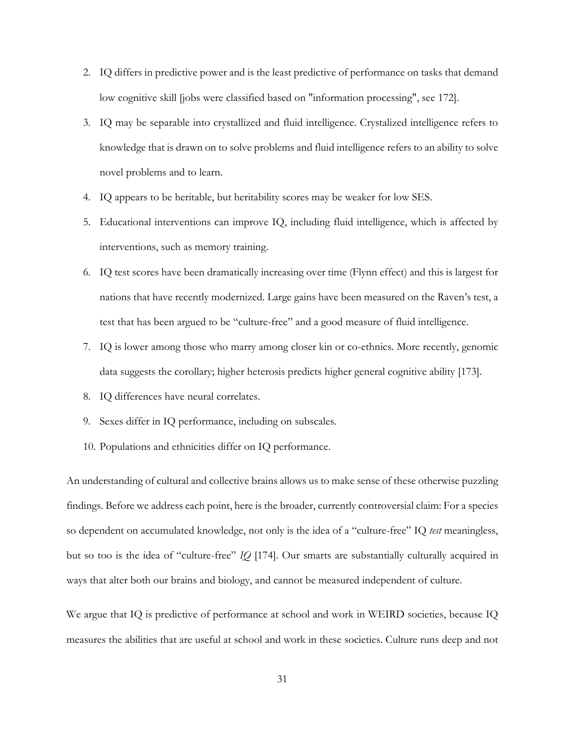- 2. IQ differs in predictive power and is the least predictive of performance on tasks that demand low cognitive skill [jobs were classified based on "information processing", see 172].
- 3. IQ may be separable into crystallized and fluid intelligence. Crystalized intelligence refers to knowledge that is drawn on to solve problems and fluid intelligence refers to an ability to solve novel problems and to learn.
- 4. IQ appears to be heritable, but heritability scores may be weaker for low SES.
- 5. Educational interventions can improve IQ, including fluid intelligence, which is affected by interventions, such as memory training.
- 6. IQ test scores have been dramatically increasing over time (Flynn effect) and this is largest for nations that have recently modernized. Large gains have been measured on the Raven's test, a test that has been argued to be "culture-free" and a good measure of fluid intelligence.
- 7. IQ is lower among those who marry among closer kin or co-ethnics. More recently, genomic data suggests the corollary; higher heterosis predicts higher general cognitive ability [173].
- 8. IQ differences have neural correlates.
- 9. Sexes differ in IQ performance, including on subscales.
- 10. Populations and ethnicities differ on IQ performance.

An understanding of cultural and collective brains allows us to make sense of these otherwise puzzling findings. Before we address each point, here is the broader, currently controversial claim: For a species so dependent on accumulated knowledge, not only is the idea of a "culture-free" IQ *test* meaningless, but so too is the idea of "culture-free" *IQ* [174]. Our smarts are substantially culturally acquired in ways that alter both our brains and biology, and cannot be measured independent of culture.

We argue that IQ is predictive of performance at school and work in WEIRD societies, because IQ measures the abilities that are useful at school and work in these societies. Culture runs deep and not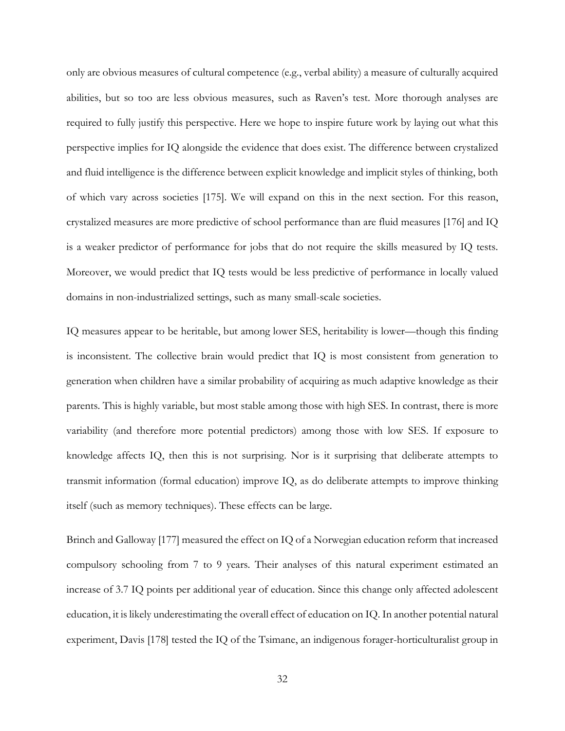only are obvious measures of cultural competence (e.g., verbal ability) a measure of culturally acquired abilities, but so too are less obvious measures, such as Raven's test. More thorough analyses are required to fully justify this perspective. Here we hope to inspire future work by laying out what this perspective implies for IQ alongside the evidence that does exist. The difference between crystalized and fluid intelligence is the difference between explicit knowledge and implicit styles of thinking, both of which vary across societies [175]. We will expand on this in the next section. For this reason, crystalized measures are more predictive of school performance than are fluid measures [176] and IQ is a weaker predictor of performance for jobs that do not require the skills measured by IQ tests. Moreover, we would predict that IQ tests would be less predictive of performance in locally valued domains in non-industrialized settings, such as many small-scale societies.

IQ measures appear to be heritable, but among lower SES, heritability is lower—though this finding is inconsistent. The collective brain would predict that IQ is most consistent from generation to generation when children have a similar probability of acquiring as much adaptive knowledge as their parents. This is highly variable, but most stable among those with high SES. In contrast, there is more variability (and therefore more potential predictors) among those with low SES. If exposure to knowledge affects IQ, then this is not surprising. Nor is it surprising that deliberate attempts to transmit information (formal education) improve IQ, as do deliberate attempts to improve thinking itself (such as memory techniques). These effects can be large.

Brinch and Galloway [177] measured the effect on IQ of a Norwegian education reform that increased compulsory schooling from 7 to 9 years. Their analyses of this natural experiment estimated an increase of 3.7 IQ points per additional year of education. Since this change only affected adolescent education, it is likely underestimating the overall effect of education on IQ. In another potential natural experiment, Davis [178] tested the IQ of the Tsimane, an indigenous forager-horticulturalist group in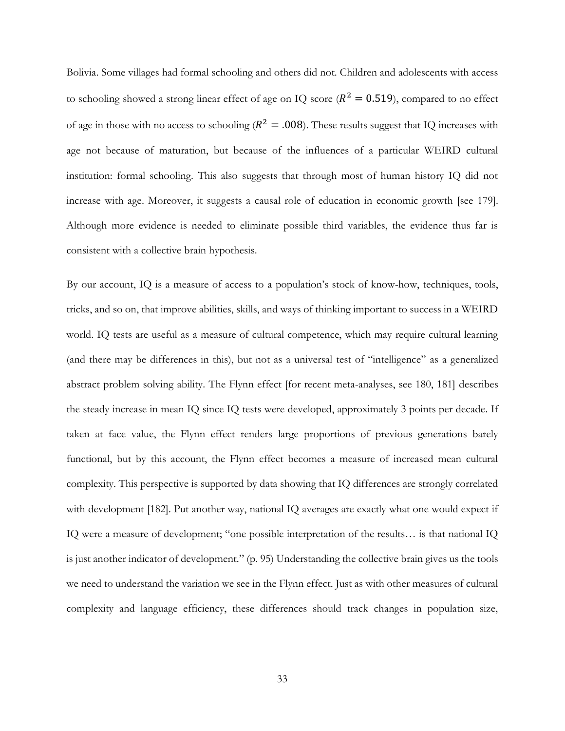Bolivia. Some villages had formal schooling and others did not. Children and adolescents with access to schooling showed a strong linear effect of age on IQ score ( $R^2 = 0.519$ ), compared to no effect of age in those with no access to schooling ( $R^2 = .008$ ). These results suggest that IQ increases with age not because of maturation, but because of the influences of a particular WEIRD cultural institution: formal schooling. This also suggests that through most of human history IQ did not increase with age. Moreover, it suggests a causal role of education in economic growth [see 179]. Although more evidence is needed to eliminate possible third variables, the evidence thus far is consistent with a collective brain hypothesis.

By our account, IQ is a measure of access to a population's stock of know-how, techniques, tools, tricks, and so on, that improve abilities, skills, and ways of thinking important to success in a WEIRD world. IQ tests are useful as a measure of cultural competence, which may require cultural learning (and there may be differences in this), but not as a universal test of "intelligence" as a generalized abstract problem solving ability. The Flynn effect [for recent meta-analyses, see 180, 181] describes the steady increase in mean IQ since IQ tests were developed, approximately 3 points per decade. If taken at face value, the Flynn effect renders large proportions of previous generations barely functional, but by this account, the Flynn effect becomes a measure of increased mean cultural complexity. This perspective is supported by data showing that IQ differences are strongly correlated with development [182]. Put another way, national IQ averages are exactly what one would expect if IQ were a measure of development; "one possible interpretation of the results… is that national IQ is just another indicator of development." (p. 95) Understanding the collective brain gives us the tools we need to understand the variation we see in the Flynn effect. Just as with other measures of cultural complexity and language efficiency, these differences should track changes in population size,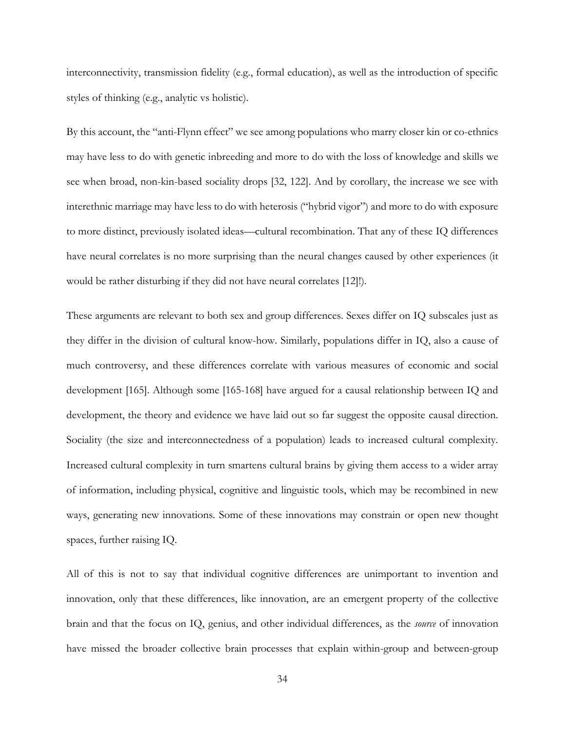interconnectivity, transmission fidelity (e.g., formal education), as well as the introduction of specific styles of thinking (e.g., analytic vs holistic).

By this account, the "anti-Flynn effect" we see among populations who marry closer kin or co-ethnics may have less to do with genetic inbreeding and more to do with the loss of knowledge and skills we see when broad, non-kin-based sociality drops [32, 122]. And by corollary, the increase we see with interethnic marriage may have less to do with heterosis ("hybrid vigor") and more to do with exposure to more distinct, previously isolated ideas—cultural recombination. That any of these IQ differences have neural correlates is no more surprising than the neural changes caused by other experiences (it would be rather disturbing if they did not have neural correlates [12]!).

These arguments are relevant to both sex and group differences. Sexes differ on IQ subscales just as they differ in the division of cultural know-how. Similarly, populations differ in IQ, also a cause of much controversy, and these differences correlate with various measures of economic and social development [165]. Although some [165-168] have argued for a causal relationship between IQ and development, the theory and evidence we have laid out so far suggest the opposite causal direction. Sociality (the size and interconnectedness of a population) leads to increased cultural complexity. Increased cultural complexity in turn smartens cultural brains by giving them access to a wider array of information, including physical, cognitive and linguistic tools, which may be recombined in new ways, generating new innovations. Some of these innovations may constrain or open new thought spaces, further raising IQ.

All of this is not to say that individual cognitive differences are unimportant to invention and innovation, only that these differences, like innovation, are an emergent property of the collective brain and that the focus on IQ, genius, and other individual differences, as the *source* of innovation have missed the broader collective brain processes that explain within-group and between-group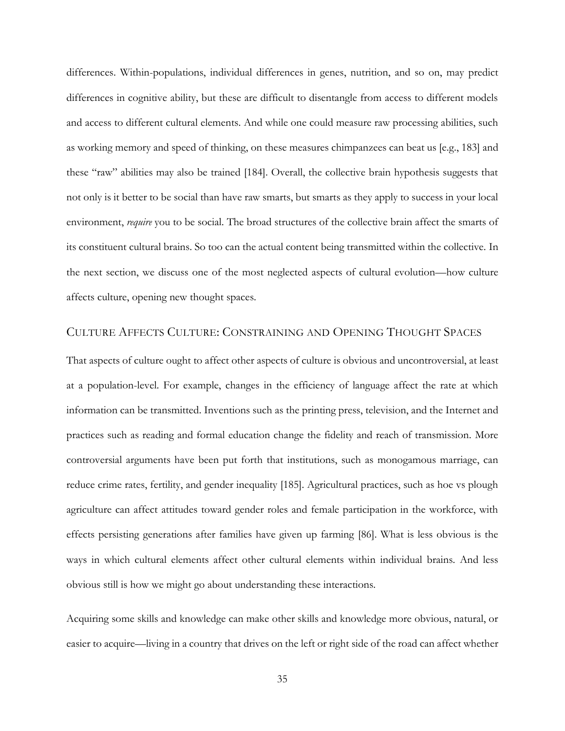differences. Within-populations, individual differences in genes, nutrition, and so on, may predict differences in cognitive ability, but these are difficult to disentangle from access to different models and access to different cultural elements. And while one could measure raw processing abilities, such as working memory and speed of thinking, on these measures chimpanzees can beat us [e.g., 183] and these "raw" abilities may also be trained [184]. Overall, the collective brain hypothesis suggests that not only is it better to be social than have raw smarts, but smarts as they apply to success in your local environment, *require* you to be social. The broad structures of the collective brain affect the smarts of its constituent cultural brains. So too can the actual content being transmitted within the collective. In the next section, we discuss one of the most neglected aspects of cultural evolution—how culture affects culture, opening new thought spaces.

#### CULTURE AFFECTS CULTURE: CONSTRAINING AND OPENING THOUGHT SPACES

That aspects of culture ought to affect other aspects of culture is obvious and uncontroversial, at least at a population-level. For example, changes in the efficiency of language affect the rate at which information can be transmitted. Inventions such as the printing press, television, and the Internet and practices such as reading and formal education change the fidelity and reach of transmission. More controversial arguments have been put forth that institutions, such as monogamous marriage, can reduce crime rates, fertility, and gender inequality [185]. Agricultural practices, such as hoe vs plough agriculture can affect attitudes toward gender roles and female participation in the workforce, with effects persisting generations after families have given up farming [86]. What is less obvious is the ways in which cultural elements affect other cultural elements within individual brains. And less obvious still is how we might go about understanding these interactions.

Acquiring some skills and knowledge can make other skills and knowledge more obvious, natural, or easier to acquire—living in a country that drives on the left or right side of the road can affect whether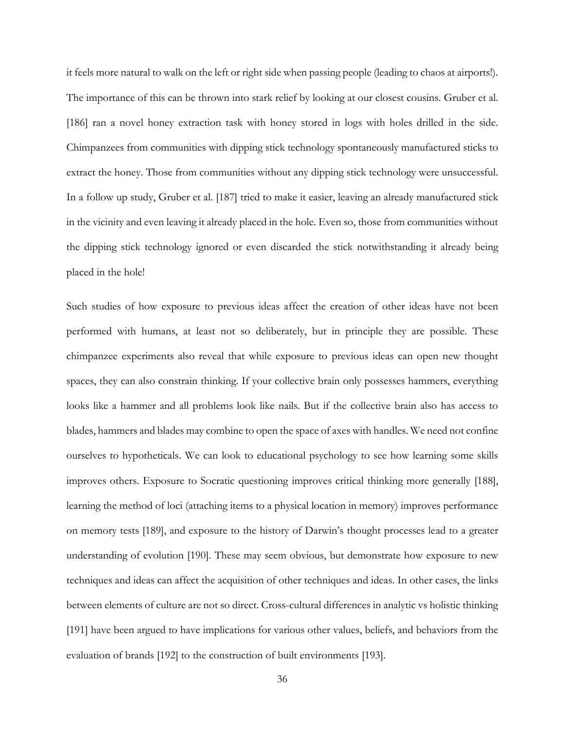it feels more natural to walk on the left or right side when passing people (leading to chaos at airports!). The importance of this can be thrown into stark relief by looking at our closest cousins. Gruber et al. [186] ran a novel honey extraction task with honey stored in logs with holes drilled in the side. Chimpanzees from communities with dipping stick technology spontaneously manufactured sticks to extract the honey. Those from communities without any dipping stick technology were unsuccessful. In a follow up study, Gruber et al. [187] tried to make it easier, leaving an already manufactured stick in the vicinity and even leaving it already placed in the hole. Even so, those from communities without the dipping stick technology ignored or even discarded the stick notwithstanding it already being placed in the hole!

Such studies of how exposure to previous ideas affect the creation of other ideas have not been performed with humans, at least not so deliberately, but in principle they are possible. These chimpanzee experiments also reveal that while exposure to previous ideas can open new thought spaces, they can also constrain thinking. If your collective brain only possesses hammers, everything looks like a hammer and all problems look like nails. But if the collective brain also has access to blades, hammers and blades may combine to open the space of axes with handles. We need not confine ourselves to hypotheticals. We can look to educational psychology to see how learning some skills improves others. Exposure to Socratic questioning improves critical thinking more generally [188], learning the method of loci (attaching items to a physical location in memory) improves performance on memory tests [189], and exposure to the history of Darwin's thought processes lead to a greater understanding of evolution [190]. These may seem obvious, but demonstrate how exposure to new techniques and ideas can affect the acquisition of other techniques and ideas. In other cases, the links between elements of culture are not so direct. Cross-cultural differences in analytic vs holistic thinking [191] have been argued to have implications for various other values, beliefs, and behaviors from the evaluation of brands [192] to the construction of built environments [193].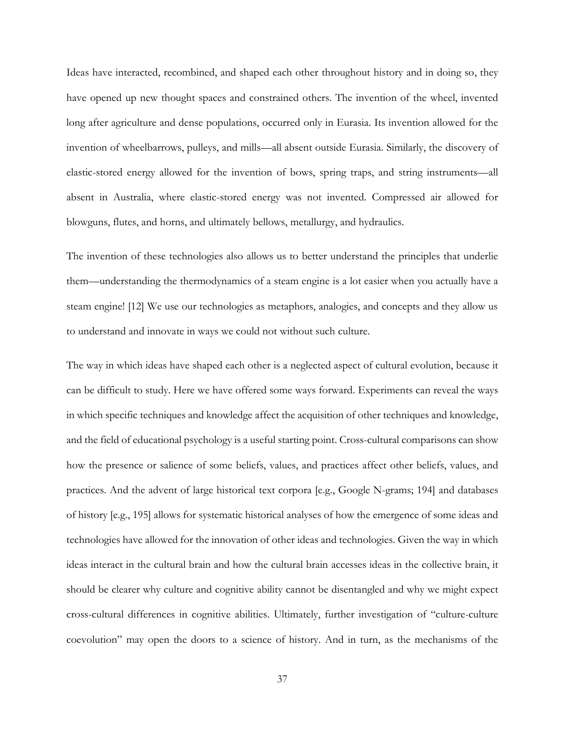Ideas have interacted, recombined, and shaped each other throughout history and in doing so, they have opened up new thought spaces and constrained others. The invention of the wheel, invented long after agriculture and dense populations, occurred only in Eurasia. Its invention allowed for the invention of wheelbarrows, pulleys, and mills—all absent outside Eurasia. Similarly, the discovery of elastic-stored energy allowed for the invention of bows, spring traps, and string instruments—all absent in Australia, where elastic-stored energy was not invented. Compressed air allowed for blowguns, flutes, and horns, and ultimately bellows, metallurgy, and hydraulics.

The invention of these technologies also allows us to better understand the principles that underlie them—understanding the thermodynamics of a steam engine is a lot easier when you actually have a steam engine! [12] We use our technologies as metaphors, analogies, and concepts and they allow us to understand and innovate in ways we could not without such culture.

The way in which ideas have shaped each other is a neglected aspect of cultural evolution, because it can be difficult to study. Here we have offered some ways forward. Experiments can reveal the ways in which specific techniques and knowledge affect the acquisition of other techniques and knowledge, and the field of educational psychology is a useful starting point. Cross-cultural comparisons can show how the presence or salience of some beliefs, values, and practices affect other beliefs, values, and practices. And the advent of large historical text corpora [e.g., Google N-grams; 194] and databases of history [e.g., 195] allows for systematic historical analyses of how the emergence of some ideas and technologies have allowed for the innovation of other ideas and technologies. Given the way in which ideas interact in the cultural brain and how the cultural brain accesses ideas in the collective brain, it should be clearer why culture and cognitive ability cannot be disentangled and why we might expect cross-cultural differences in cognitive abilities. Ultimately, further investigation of "culture-culture coevolution" may open the doors to a science of history. And in turn, as the mechanisms of the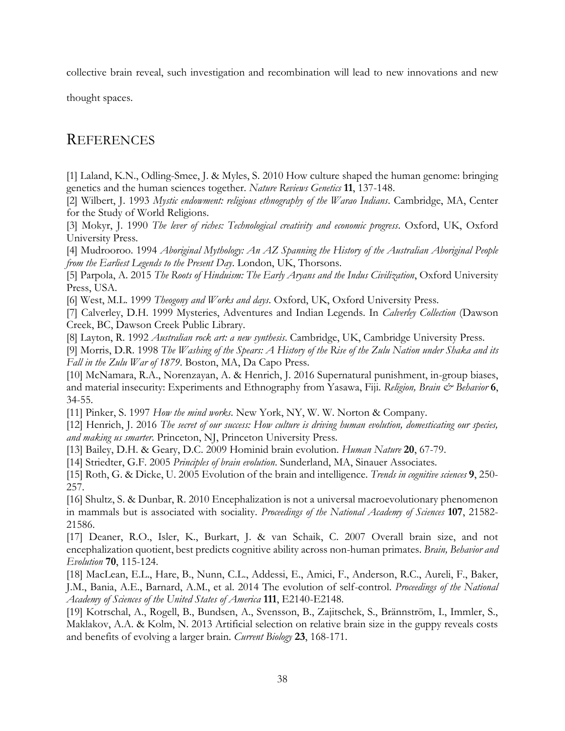collective brain reveal, such investigation and recombination will lead to new innovations and new

thought spaces.

## **REFERENCES**

[1] Laland, K.N., Odling-Smee, J. & Myles, S. 2010 How culture shaped the human genome: bringing genetics and the human sciences together. *Nature Reviews Genetics* **11**, 137-148.

[2] Wilbert, J. 1993 *Mystic endowment: religious ethnography of the Warao Indians*. Cambridge, MA, Center for the Study of World Religions.

[3] Mokyr, J. 1990 *The lever of riches: Technological creativity and economic progress*. Oxford, UK, Oxford University Press.

[4] Mudrooroo. 1994 *Aboriginal Mythology: An AZ Spanning the History of the Australian Aboriginal People from the Earliest Legends to the Present Day*. London, UK, Thorsons.

[5] Parpola, A. 2015 *The Roots of Hinduism: The Early Aryans and the Indus Civilization*, Oxford University Press, USA.

[6] West, M.L. 1999 *Theogony and Works and days*. Oxford, UK, Oxford University Press.

[7] Calverley, D.H. 1999 Mysteries, Adventures and Indian Legends. In *Calverley Collection* (Dawson Creek, BC, Dawson Creek Public Library.

[8] Layton, R. 1992 *Australian rock art: a new synthesis*. Cambridge, UK, Cambridge University Press.

[9] Morris, D.R. 1998 *The Washing of the Spears: A History of the Rise of the Zulu Nation under Shaka and its Fall in the Zulu War of 1879*. Boston, MA, Da Capo Press.

[10] McNamara, R.A., Norenzayan, A. & Henrich, J. 2016 Supernatural punishment, in-group biases, and material insecurity: Experiments and Ethnography from Yasawa, Fiji. *Religion, Brain & Behavior* 6, 34-55.

[11] Pinker, S. 1997 *How the mind works*. New York, NY, W. W. Norton & Company.

[12] Henrich, J. 2016 *The secret of our success: How culture is driving human evolution, domesticating our species, and making us smarter*. Princeton, NJ, Princeton University Press.

[13] Bailey, D.H. & Geary, D.C. 2009 Hominid brain evolution. *Human Nature* **20**, 67-79.

[14] Striedter, G.F. 2005 *Principles of brain evolution*. Sunderland, MA, Sinauer Associates.

[15] Roth, G. & Dicke, U. 2005 Evolution of the brain and intelligence. *Trends in cognitive sciences* **9**, 250- 257.

[16] Shultz, S. & Dunbar, R. 2010 Encephalization is not a universal macroevolutionary phenomenon in mammals but is associated with sociality. *Proceedings of the National Academy of Sciences* **107**, 21582- 21586.

[17] Deaner, R.O., Isler, K., Burkart, J. & van Schaik, C. 2007 Overall brain size, and not encephalization quotient, best predicts cognitive ability across non-human primates. *Brain, Behavior and Evolution* **70**, 115-124.

[18] MacLean, E.L., Hare, B., Nunn, C.L., Addessi, E., Amici, F., Anderson, R.C., Aureli, F., Baker, J.M., Bania, A.E., Barnard, A.M., et al. 2014 The evolution of self-control. *Proceedings of the National Academy of Sciences of the United States of America* **111**, E2140-E2148.

[19] Kotrschal, A., Rogell, B., Bundsen, A., Svensson, B., Zajitschek, S., Brännström, I., Immler, S., Maklakov, A.A. & Kolm, N. 2013 Artificial selection on relative brain size in the guppy reveals costs and benefits of evolving a larger brain. *Current Biology* **23**, 168-171.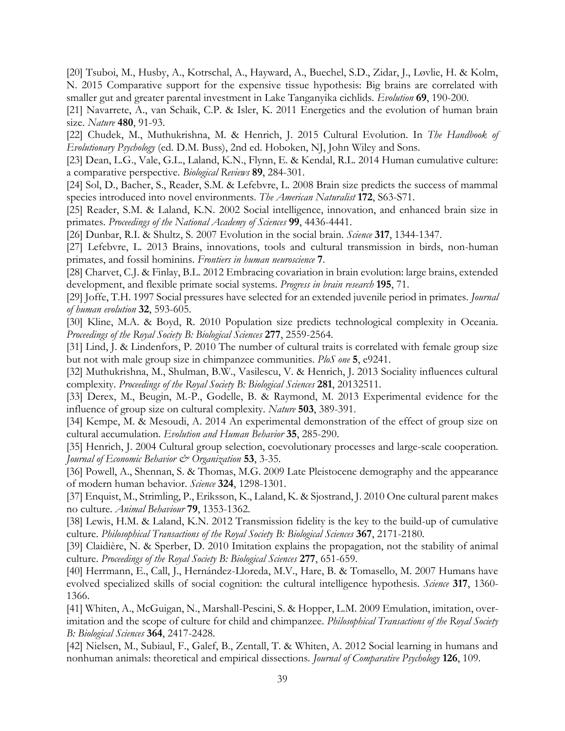[20] Tsuboi, M., Husby, A., Kotrschal, A., Hayward, A., Buechel, S.D., Zidar, J., Løvlie, H. & Kolm, N. 2015 Comparative support for the expensive tissue hypothesis: Big brains are correlated with smaller gut and greater parental investment in Lake Tanganyika cichlids. *Evolution* **69**, 190-200.

[21] Navarrete, A., van Schaik, C.P. & Isler, K. 2011 Energetics and the evolution of human brain size. *Nature* **480**, 91-93.

[22] Chudek, M., Muthukrishna, M. & Henrich, J. 2015 Cultural Evolution. In *The Handbook of Evolutionary Psychology* (ed. D.M. Buss), 2nd ed. Hoboken, NJ, John Wiley and Sons.

[23] Dean, L.G., Vale, G.L., Laland, K.N., Flynn, E. & Kendal, R.L. 2014 Human cumulative culture: a comparative perspective. *Biological Reviews* **89**, 284-301.

[24] Sol, D., Bacher, S., Reader, S.M. & Lefebvre, L. 2008 Brain size predicts the success of mammal species introduced into novel environments. *The American Naturalist* **172**, S63-S71.

[25] Reader, S.M. & Laland, K.N. 2002 Social intelligence, innovation, and enhanced brain size in primates. *Proceedings of the National Academy of Sciences* **99**, 4436-4441.

[26] Dunbar, R.I. & Shultz, S. 2007 Evolution in the social brain. *Science* **317**, 1344-1347.

[27] Lefebvre, L. 2013 Brains, innovations, tools and cultural transmission in birds, non-human primates, and fossil hominins. *Frontiers in human neuroscience* **7**.

[28] Charvet, C.J. & Finlay, B.L. 2012 Embracing covariation in brain evolution: large brains, extended development, and flexible primate social systems. *Progress in brain research* **195**, 71.

[29] Joffe, T.H. 1997 Social pressures have selected for an extended juvenile period in primates. *Journal of human evolution* **32**, 593-605.

[30] Kline, M.A. & Boyd, R. 2010 Population size predicts technological complexity in Oceania. *Proceedings of the Royal Society B: Biological Sciences* **277**, 2559-2564.

[31] Lind, J. & Lindenfors, P. 2010 The number of cultural traits is correlated with female group size but not with male group size in chimpanzee communities. *PloS one* **5**, e9241.

[32] Muthukrishna, M., Shulman, B.W., Vasilescu, V. & Henrich, J. 2013 Sociality influences cultural complexity. *Proceedings of the Royal Society B: Biological Sciences* **281**, 20132511.

[33] Derex, M., Beugin, M.-P., Godelle, B. & Raymond, M. 2013 Experimental evidence for the influence of group size on cultural complexity. *Nature* **503**, 389-391.

[34] Kempe, M. & Mesoudi, A. 2014 An experimental demonstration of the effect of group size on cultural accumulation. *Evolution and Human Behavior* **35**, 285-290.

[35] Henrich, J. 2004 Cultural group selection, coevolutionary processes and large-scale cooperation. *Journal of Economic Behavior & Organization* **53**, 3-35.

[36] Powell, A., Shennan, S. & Thomas, M.G. 2009 Late Pleistocene demography and the appearance of modern human behavior. *Science* **324**, 1298-1301.

[37] Enquist, M., Strimling, P., Eriksson, K., Laland, K. & Sjostrand, J. 2010 One cultural parent makes no culture. *Animal Behaviour* **79**, 1353-1362.

[38] Lewis, H.M. & Laland, K.N. 2012 Transmission fidelity is the key to the build-up of cumulative culture. *Philosophical Transactions of the Royal Society B: Biological Sciences* **367**, 2171-2180.

[39] Claidière, N. & Sperber, D. 2010 Imitation explains the propagation, not the stability of animal culture. *Proceedings of the Royal Society B: Biological Sciences* **277**, 651-659.

[40] Herrmann, E., Call, J., Hernández-Lloreda, M.V., Hare, B. & Tomasello, M. 2007 Humans have evolved specialized skills of social cognition: the cultural intelligence hypothesis. *Science* **317**, 1360- 1366.

[41] Whiten, A., McGuigan, N., Marshall-Pescini, S. & Hopper, L.M. 2009 Emulation, imitation, overimitation and the scope of culture for child and chimpanzee. *Philosophical Transactions of the Royal Society B: Biological Sciences* **364**, 2417-2428.

[42] Nielsen, M., Subiaul, F., Galef, B., Zentall, T. & Whiten, A. 2012 Social learning in humans and nonhuman animals: theoretical and empirical dissections. *Journal of Comparative Psychology* **126**, 109.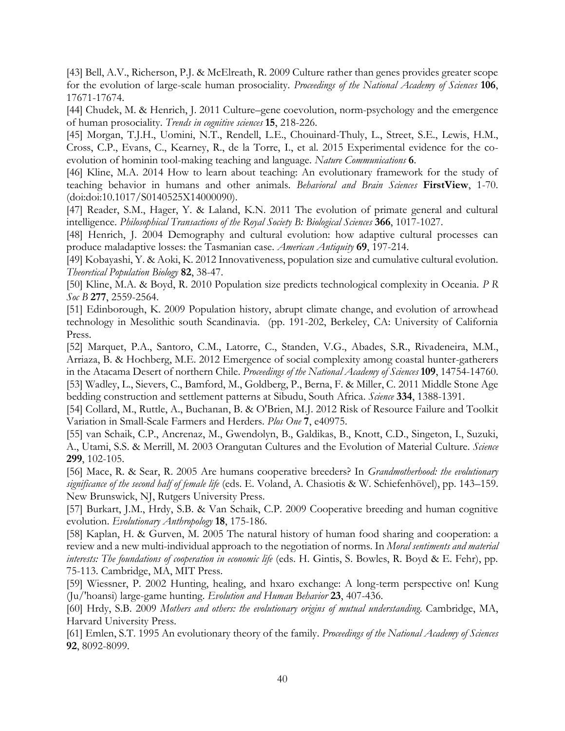[43] Bell, A.V., Richerson, P.J. & McElreath, R. 2009 Culture rather than genes provides greater scope for the evolution of large-scale human prosociality. *Proceedings of the National Academy of Sciences* **106**, 17671-17674.

[44] Chudek, M. & Henrich, J. 2011 Culture–gene coevolution, norm-psychology and the emergence of human prosociality. *Trends in cognitive sciences* **15**, 218-226.

[45] Morgan, T.J.H., Uomini, N.T., Rendell, L.E., Chouinard-Thuly, L., Street, S.E., Lewis, H.M., Cross, C.P., Evans, C., Kearney, R., de la Torre, I., et al. 2015 Experimental evidence for the coevolution of hominin tool-making teaching and language. *Nature Communications* **6**.

[46] Kline, M.A. 2014 How to learn about teaching: An evolutionary framework for the study of teaching behavior in humans and other animals. *Behavioral and Brain Sciences* **FirstView**, 1-70. (doi:doi:10.1017/S0140525X14000090).

[47] Reader, S.M., Hager, Y. & Laland, K.N. 2011 The evolution of primate general and cultural intelligence. *Philosophical Transactions of the Royal Society B: Biological Sciences* **366**, 1017-1027.

[48] Henrich, J. 2004 Demography and cultural evolution: how adaptive cultural processes can produce maladaptive losses: the Tasmanian case. *American Antiquity* **69**, 197-214.

[49] Kobayashi, Y. & Aoki, K. 2012 Innovativeness, population size and cumulative cultural evolution. *Theoretical Population Biology* **82**, 38-47.

[50] Kline, M.A. & Boyd, R. 2010 Population size predicts technological complexity in Oceania. *P R Soc B* **277**, 2559-2564.

[51] Edinborough, K. 2009 Population history, abrupt climate change, and evolution of arrowhead technology in Mesolithic south Scandinavia. (pp. 191-202, Berkeley, CA: University of California Press.

[52] Marquet, P.A., Santoro, C.M., Latorre, C., Standen, V.G., Abades, S.R., Rivadeneira, M.M., Arriaza, B. & Hochberg, M.E. 2012 Emergence of social complexity among coastal hunter-gatherers in the Atacama Desert of northern Chile. *Proceedings of the National Academy of Sciences* **109**, 14754-14760. [53] Wadley, L., Sievers, C., Bamford, M., Goldberg, P., Berna, F. & Miller, C. 2011 Middle Stone Age bedding construction and settlement patterns at Sibudu, South Africa. *Science* **334**, 1388-1391.

[54] Collard, M., Ruttle, A., Buchanan, B. & O'Brien, M.J. 2012 Risk of Resource Failure and Toolkit Variation in Small-Scale Farmers and Herders. *Plos One* **7**, e40975.

[55] van Schaik, C.P., Ancrenaz, M., Gwendolyn, B., Galdikas, B., Knott, C.D., Singeton, I., Suzuki, A., Utami, S.S. & Merrill, M. 2003 Orangutan Cultures and the Evolution of Material Culture. *Science* **299**, 102-105.

[56] Mace, R. & Sear, R. 2005 Are humans cooperative breeders? In *Grandmotherhood: the evolutionary significance of the second half of female life* (eds. E. Voland, A. Chasiotis & W. Schiefenhövel), pp. 143–159. New Brunswick, NJ, Rutgers University Press.

[57] Burkart, J.M., Hrdy, S.B. & Van Schaik, C.P. 2009 Cooperative breeding and human cognitive evolution. *Evolutionary Anthropology* **18**, 175-186.

[58] Kaplan, H. & Gurven, M. 2005 The natural history of human food sharing and cooperation: a review and a new multi-individual approach to the negotiation of norms. In *Moral sentiments and material interests: The foundations of cooperation in economic life* (eds. H. Gintis, S. Bowles, R. Boyd & E. Fehr), pp. 75-113. Cambridge, MA, MIT Press.

[59] Wiessner, P. 2002 Hunting, healing, and hxaro exchange: A long-term perspective on! Kung (Ju/'hoansi) large-game hunting. *Evolution and Human Behavior* **23**, 407-436.

[60] Hrdy, S.B. 2009 *Mothers and others: the evolutionary origins of mutual understanding*. Cambridge, MA, Harvard University Press.

[61] Emlen, S.T. 1995 An evolutionary theory of the family. *Proceedings of the National Academy of Sciences* **92**, 8092-8099.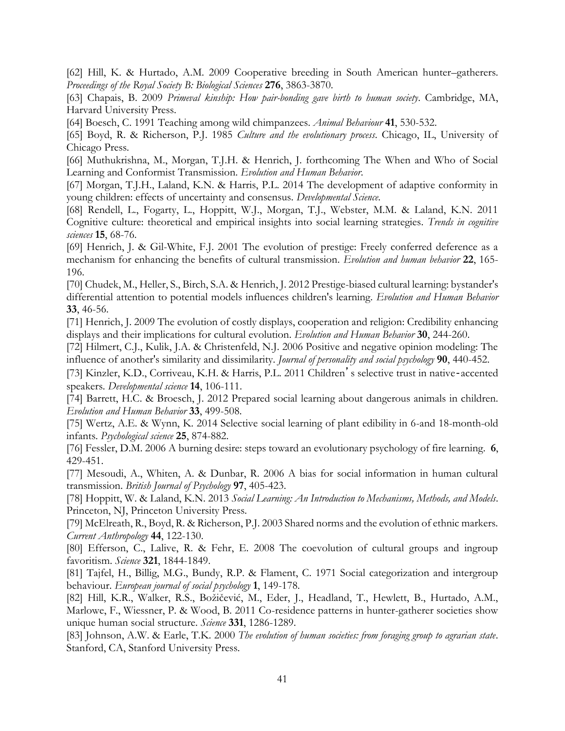[62] Hill, K. & Hurtado, A.M. 2009 Cooperative breeding in South American hunter–gatherers. *Proceedings of the Royal Society B: Biological Sciences* **276**, 3863-3870.

[63] Chapais, B. 2009 *Primeval kinship: How pair-bonding gave birth to human society*. Cambridge, MA, Harvard University Press.

[64] Boesch, C. 1991 Teaching among wild chimpanzees. *Animal Behaviour* **41**, 530-532.

[65] Boyd, R. & Richerson, P.J. 1985 *Culture and the evolutionary process*. Chicago, IL, University of Chicago Press.

[66] Muthukrishna, M., Morgan, T.J.H. & Henrich, J. forthcoming The When and Who of Social Learning and Conformist Transmission. *Evolution and Human Behavior*.

[67] Morgan, T.J.H., Laland, K.N. & Harris, P.L. 2014 The development of adaptive conformity in young children: effects of uncertainty and consensus. *Developmental Science*.

[68] Rendell, L., Fogarty, L., Hoppitt, W.J., Morgan, T.J., Webster, M.M. & Laland, K.N. 2011 Cognitive culture: theoretical and empirical insights into social learning strategies. *Trends in cognitive sciences* **15**, 68-76.

[69] Henrich, J. & Gil-White, F.J. 2001 The evolution of prestige: Freely conferred deference as a mechanism for enhancing the benefits of cultural transmission. *Evolution and human behavior* **22**, 165- 196.

[70] Chudek, M., Heller, S., Birch, S.A. & Henrich, J. 2012 Prestige-biased cultural learning: bystander's differential attention to potential models influences children's learning. *Evolution and Human Behavior* **33**, 46-56.

[71] Henrich, J. 2009 The evolution of costly displays, cooperation and religion: Credibility enhancing displays and their implications for cultural evolution. *Evolution and Human Behavior* **30**, 244-260.

[72] Hilmert, C.J., Kulik, J.A. & Christenfeld, N.J. 2006 Positive and negative opinion modeling: The influence of another's similarity and dissimilarity. *Journal of personality and social psychology* **90**, 440-452.

[73] Kinzler, K.D., Corriveau, K.H. & Harris, P.L. 2011 Children's selective trust in native‐accented speakers. *Developmental science* **14**, 106-111.

[74] Barrett, H.C. & Broesch, J. 2012 Prepared social learning about dangerous animals in children. *Evolution and Human Behavior* **33**, 499-508.

[75] Wertz, A.E. & Wynn, K. 2014 Selective social learning of plant edibility in 6-and 18-month-old infants. *Psychological science* **25**, 874-882.

[76] Fessler, D.M. 2006 A burning desire: steps toward an evolutionary psychology of fire learning. **6**, 429-451.

[77] Mesoudi, A., Whiten, A. & Dunbar, R. 2006 A bias for social information in human cultural transmission. *British Journal of Psychology* **97**, 405-423.

[78] Hoppitt, W. & Laland, K.N. 2013 *Social Learning: An Introduction to Mechanisms, Methods, and Models*. Princeton, NJ, Princeton University Press.

[79] McElreath, R., Boyd, R. & Richerson, P.J. 2003 Shared norms and the evolution of ethnic markers. *Current Anthropology* **44**, 122-130.

[80] Efferson, C., Lalive, R. & Fehr, E. 2008 The coevolution of cultural groups and ingroup favoritism. *Science* **321**, 1844-1849.

[81] Tajfel, H., Billig, M.G., Bundy, R.P. & Flament, C. 1971 Social categorization and intergroup behaviour. *European journal of social psychology* **1**, 149-178.

[82] Hill, K.R., Walker, R.S., Božičević, M., Eder, J., Headland, T., Hewlett, B., Hurtado, A.M., Marlowe, F., Wiessner, P. & Wood, B. 2011 Co-residence patterns in hunter-gatherer societies show unique human social structure. *Science* **331**, 1286-1289.

[83] Johnson, A.W. & Earle, T.K. 2000 *The evolution of human societies: from foraging group to agrarian state*. Stanford, CA, Stanford University Press.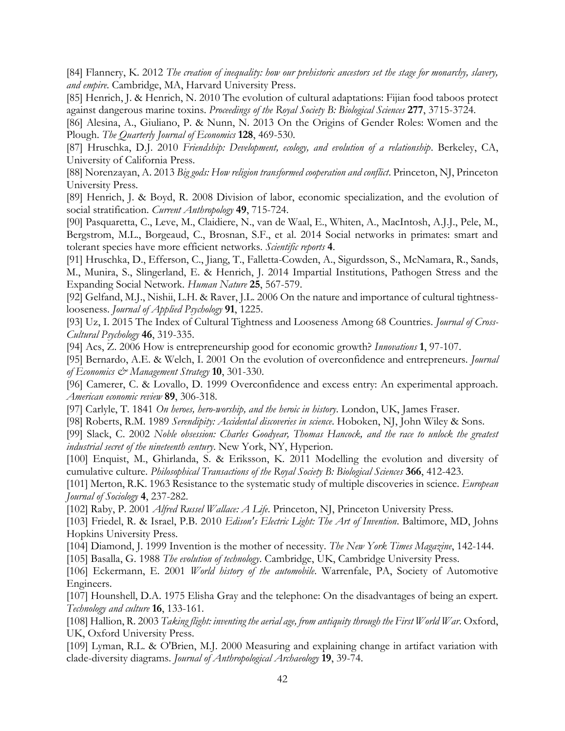[84] Flannery, K. 2012 *The creation of inequality: how our prehistoric ancestors set the stage for monarchy, slavery, and empire*. Cambridge, MA, Harvard University Press.

[85] Henrich, J. & Henrich, N. 2010 The evolution of cultural adaptations: Fijian food taboos protect against dangerous marine toxins. *Proceedings of the Royal Society B: Biological Sciences* **277**, 3715-3724.

[86] Alesina, A., Giuliano, P. & Nunn, N. 2013 On the Origins of Gender Roles: Women and the Plough. *The Quarterly Journal of Economics* **128**, 469-530.

[87] Hruschka, D.J. 2010 *Friendship: Development, ecology, and evolution of a relationship*. Berkeley, CA, University of California Press.

[88] Norenzayan, A. 2013 *Big gods: How religion transformed cooperation and conflict*. Princeton, NJ, Princeton University Press.

[89] Henrich, J. & Boyd, R. 2008 Division of labor, economic specialization, and the evolution of social stratification. *Current Anthropology* **49**, 715-724.

[90] Pasquaretta, C., Leve, M., Claidiere, N., van de Waal, E., Whiten, A., MacIntosh, A.J.J., Pele, M., Bergstrom, M.L., Borgeaud, C., Brosnan, S.F., et al. 2014 Social networks in primates: smart and tolerant species have more efficient networks. *Scientific reports* **4**.

[91] Hruschka, D., Efferson, C., Jiang, T., Falletta-Cowden, A., Sigurdsson, S., McNamara, R., Sands, M., Munira, S., Slingerland, E. & Henrich, J. 2014 Impartial Institutions, Pathogen Stress and the Expanding Social Network. *Human Nature* **25**, 567-579.

[92] Gelfand, M.J., Nishii, L.H. & Raver, J.L. 2006 On the nature and importance of cultural tightnesslooseness. *Journal of Applied Psychology* **91**, 1225.

[93] Uz, I. 2015 The Index of Cultural Tightness and Looseness Among 68 Countries. *Journal of Cross-Cultural Psychology* **46**, 319-335.

[94] Acs, Z. 2006 How is entrepreneurship good for economic growth? *Innovations* **1**, 97-107.

[95] Bernardo, A.E. & Welch, I. 2001 On the evolution of overconfidence and entrepreneurs. *Journal of Economics & Management Strategy* **10**, 301-330.

[96] Camerer, C. & Lovallo, D. 1999 Overconfidence and excess entry: An experimental approach. *American economic review* **89**, 306-318.

[97] Carlyle, T. 1841 *On heroes, hero-worship, and the heroic in history*. London, UK, James Fraser.

[98] Roberts, R.M. 1989 *Serendipity: Accidental discoveries in science*. Hoboken, NJ, John Wiley & Sons.

[99] Slack, C. 2002 *Noble obsession: Charles Goodyear, Thomas Hancock, and the race to unlock the greatest industrial secret of the nineteenth century*. New York, NY, Hyperion.

[100] Enquist, M., Ghirlanda, S. & Eriksson, K. 2011 Modelling the evolution and diversity of cumulative culture. *Philosophical Transactions of the Royal Society B: Biological Sciences* **366**, 412-423.

[101] Merton, R.K. 1963 Resistance to the systematic study of multiple discoveries in science. *European Journal of Sociology* **4**, 237-282.

[102] Raby, P. 2001 *Alfred Russel Wallace: A Life*. Princeton, NJ, Princeton University Press.

[103] Friedel, R. & Israel, P.B. 2010 *Edison's Electric Light: The Art of Invention*. Baltimore, MD, Johns Hopkins University Press.

[104] Diamond, J. 1999 Invention is the mother of necessity. *The New York Times Magazine*, 142-144.

[105] Basalla, G. 1988 *The evolution of technology*. Cambridge, UK, Cambridge University Press.

[106] Eckermann, E. 2001 *World history of the automobile*. Warrenfale, PA, Society of Automotive Engineers.

[107] Hounshell, D.A. 1975 Elisha Gray and the telephone: On the disadvantages of being an expert. *Technology and culture* **16**, 133-161.

[108] Hallion, R. 2003 *Taking flight: inventing the aerial age, from antiquity through the First World War*. Oxford, UK, Oxford University Press.

[109] Lyman, R.L. & O'Brien, M.J. 2000 Measuring and explaining change in artifact variation with clade-diversity diagrams. *Journal of Anthropological Archaeology* **19**, 39-74.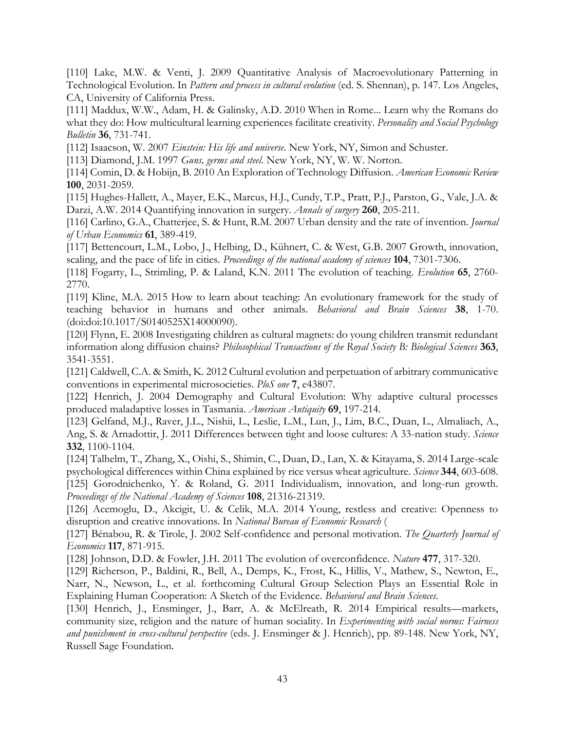[110] Lake, M.W. & Venti, J. 2009 Quantitative Analysis of Macroevolutionary Patterning in Technological Evolution. In *Pattern and process in cultural evolution* (ed. S. Shennan), p. 147. Los Angeles, CA, University of California Press.

[111] Maddux, W.W., Adam, H. & Galinsky, A.D. 2010 When in Rome... Learn why the Romans do what they do: How multicultural learning experiences facilitate creativity. *Personality and Social Psychology Bulletin* **36**, 731-741.

[112] Isaacson, W. 2007 *Einstein: His life and universe*. New York, NY, Simon and Schuster.

[113] Diamond, J.M. 1997 *Guns, germs and steel*. New York, NY, W. W. Norton.

[114] Comin, D. & Hobijn, B. 2010 An Exploration of Technology Diffusion. *American Economic Review* **100**, 2031-2059.

[115] Hughes-Hallett, A., Mayer, E.K., Marcus, H.J., Cundy, T.P., Pratt, P.J., Parston, G., Vale, J.A. & Darzi, A.W. 2014 Quantifying innovation in surgery. *Annals of surgery* **260**, 205-211.

[116] Carlino, G.A., Chatterjee, S. & Hunt, R.M. 2007 Urban density and the rate of invention. *Journal of Urban Economics* **61**, 389-419.

[117] Bettencourt, L.M., Lobo, J., Helbing, D., Kühnert, C. & West, G.B. 2007 Growth, innovation, scaling, and the pace of life in cities. *Proceedings of the national academy of sciences* **104**, 7301-7306.

[118] Fogarty, L., Strimling, P. & Laland, K.N. 2011 The evolution of teaching. *Evolution* **65**, 2760- 2770.

[119] Kline, M.A. 2015 How to learn about teaching: An evolutionary framework for the study of teaching behavior in humans and other animals. *Behavioral and Brain Sciences* **38**, 1-70. (doi:doi:10.1017/S0140525X14000090).

[120] Flynn, E. 2008 Investigating children as cultural magnets: do young children transmit redundant information along diffusion chains? *Philosophical Transactions of the Royal Society B: Biological Sciences* **363**, 3541-3551.

[121] Caldwell, C.A. & Smith, K. 2012 Cultural evolution and perpetuation of arbitrary communicative conventions in experimental microsocieties. *PloS one* **7**, e43807.

[122] Henrich, J. 2004 Demography and Cultural Evolution: Why adaptive cultural processes produced maladaptive losses in Tasmania. *American Antiquity* **69**, 197-214.

[123] Gelfand, M.J., Raver, J.L., Nishii, L., Leslie, L.M., Lun, J., Lim, B.C., Duan, L., Almaliach, A., Ang, S. & Arnadottir, J. 2011 Differences between tight and loose cultures: A 33-nation study. *Science* **332**, 1100-1104.

[124] Talhelm, T., Zhang, X., Oishi, S., Shimin, C., Duan, D., Lan, X. & Kitayama, S. 2014 Large-scale psychological differences within China explained by rice versus wheat agriculture. *Science* **344**, 603-608. [125] Gorodnichenko, Y. & Roland, G. 2011 Individualism, innovation, and long-run growth. *Proceedings of the National Academy of Sciences* **108**, 21316-21319.

[126] Acemoglu, D., Akcigit, U. & Celik, M.A. 2014 Young, restless and creative: Openness to disruption and creative innovations. In *National Bureau of Economic Research* (

[127] Bénabou, R. & Tirole, J. 2002 Self-confidence and personal motivation. *The Quarterly Journal of Economics* **117**, 871-915.

[128] Johnson, D.D. & Fowler, J.H. 2011 The evolution of overconfidence. *Nature* **477**, 317-320.

[129] Richerson, P., Baldini, R., Bell, A., Demps, K., Frost, K., Hillis, V., Mathew, S., Newton, E., Narr, N., Newson, L., et al. forthcoming Cultural Group Selection Plays an Essential Role in Explaining Human Cooperation: A Sketch of the Evidence. *Behavioral and Brain Sciences*.

[130] Henrich, J., Ensminger, J., Barr, A. & McElreath, R. 2014 Empirical results—markets, community size, religion and the nature of human sociality. In *Experimenting with social norms: Fairness and punishment in cross-cultural perspective* (eds. J. Ensminger & J. Henrich), pp. 89-148. New York, NY, Russell Sage Foundation.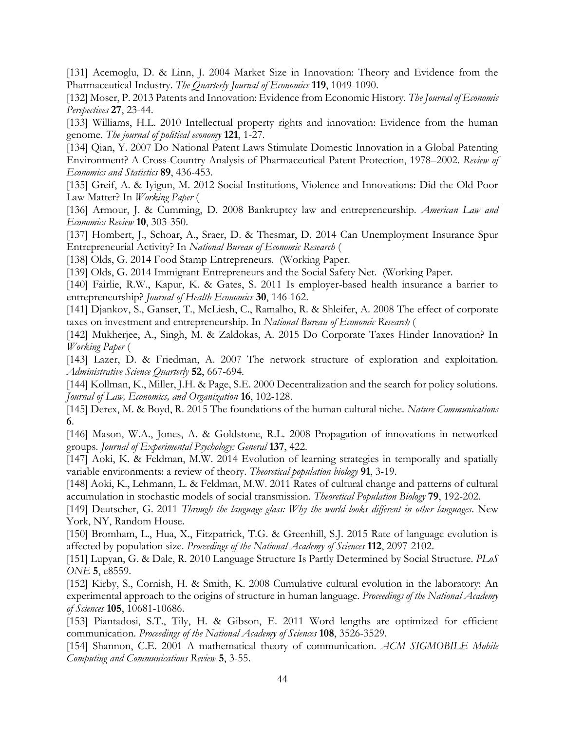[131] Acemoglu, D. & Linn, J. 2004 Market Size in Innovation: Theory and Evidence from the Pharmaceutical Industry. *The Quarterly Journal of Economics* **119**, 1049-1090.

[132] Moser, P. 2013 Patents and Innovation: Evidence from Economic History. *The Journal of Economic Perspectives* **27**, 23-44.

[133] Williams, H.L. 2010 Intellectual property rights and innovation: Evidence from the human genome. *The journal of political economy* **121**, 1-27.

[134] Qian, Y. 2007 Do National Patent Laws Stimulate Domestic Innovation in a Global Patenting Environment? A Cross-Country Analysis of Pharmaceutical Patent Protection, 1978–2002. *Review of Economics and Statistics* **89**, 436-453.

[135] Greif, A. & Iyigun, M. 2012 Social Institutions, Violence and Innovations: Did the Old Poor Law Matter? In *Working Paper* (

[136] Armour, J. & Cumming, D. 2008 Bankruptcy law and entrepreneurship. *American Law and Economics Review* **10**, 303-350.

[137] Hombert, J., Schoar, A., Sraer, D. & Thesmar, D. 2014 Can Unemployment Insurance Spur Entrepreneurial Activity? In *National Bureau of Economic Research* (

[138] Olds, G. 2014 Food Stamp Entrepreneurs. (Working Paper.

[139] Olds, G. 2014 Immigrant Entrepreneurs and the Social Safety Net. (Working Paper.

[140] Fairlie, R.W., Kapur, K. & Gates, S. 2011 Is employer-based health insurance a barrier to entrepreneurship? *Journal of Health Economics* **30**, 146-162.

[141] Djankov, S., Ganser, T., McLiesh, C., Ramalho, R. & Shleifer, A. 2008 The effect of corporate taxes on investment and entrepreneurship. In *National Bureau of Economic Research* (

[142] Mukherjee, A., Singh, M. & Zaldokas, A. 2015 Do Corporate Taxes Hinder Innovation? In *Working Paper* (

[143] Lazer, D. & Friedman, A. 2007 The network structure of exploration and exploitation. *Administrative Science Quarterly* **52**, 667-694.

[144] Kollman, K., Miller, J.H. & Page, S.E. 2000 Decentralization and the search for policy solutions. *Journal of Law, Economics, and Organization* **16**, 102-128.

[145] Derex, M. & Boyd, R. 2015 The foundations of the human cultural niche. *Nature Communications* **6**.

[146] Mason, W.A., Jones, A. & Goldstone, R.L. 2008 Propagation of innovations in networked groups. *Journal of Experimental Psychology: General* **137**, 422.

[147] Aoki, K. & Feldman, M.W. 2014 Evolution of learning strategies in temporally and spatially variable environments: a review of theory. *Theoretical population biology* **91**, 3-19.

[148] Aoki, K., Lehmann, L. & Feldman, M.W. 2011 Rates of cultural change and patterns of cultural accumulation in stochastic models of social transmission. *Theoretical Population Biology* **79**, 192-202.

[149] Deutscher, G. 2011 *Through the language glass: Why the world looks different in other languages*. New York, NY, Random House.

[150] Bromham, L., Hua, X., Fitzpatrick, T.G. & Greenhill, S.J. 2015 Rate of language evolution is affected by population size. *Proceedings of the National Academy of Sciences* **112**, 2097-2102.

[151] Lupyan, G. & Dale, R. 2010 Language Structure Is Partly Determined by Social Structure. *PLoS ONE* **5**, e8559.

[152] Kirby, S., Cornish, H. & Smith, K. 2008 Cumulative cultural evolution in the laboratory: An experimental approach to the origins of structure in human language. *Proceedings of the National Academy of Sciences* **105**, 10681-10686.

[153] Piantadosi, S.T., Tily, H. & Gibson, E. 2011 Word lengths are optimized for efficient communication. *Proceedings of the National Academy of Sciences* **108**, 3526-3529.

[154] Shannon, C.E. 2001 A mathematical theory of communication. *ACM SIGMOBILE Mobile Computing and Communications Review* **5**, 3-55.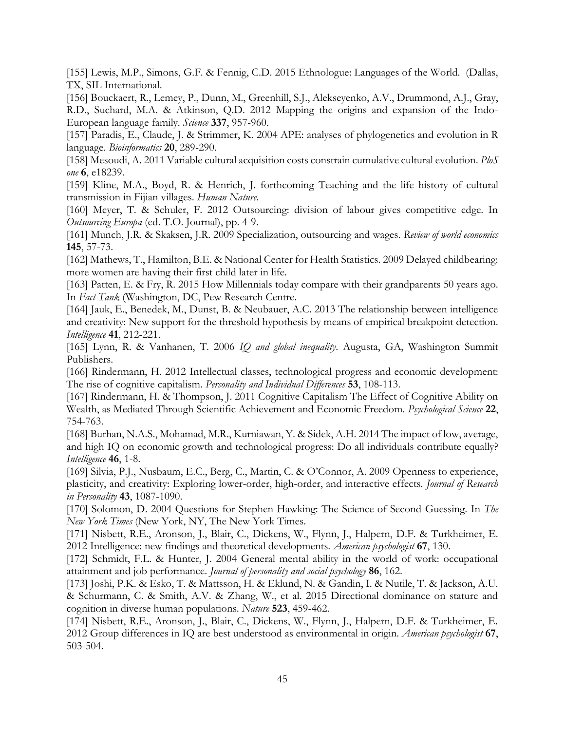[155] Lewis, M.P., Simons, G.F. & Fennig, C.D. 2015 Ethnologue: Languages of the World. (Dallas, TX, SIL International.

[156] Bouckaert, R., Lemey, P., Dunn, M., Greenhill, S.J., Alekseyenko, A.V., Drummond, A.J., Gray, R.D., Suchard, M.A. & Atkinson, Q.D. 2012 Mapping the origins and expansion of the Indo-European language family. *Science* **337**, 957-960.

[157] Paradis, E., Claude, J. & Strimmer, K. 2004 APE: analyses of phylogenetics and evolution in R language. *Bioinformatics* **20**, 289-290.

[158] Mesoudi, A. 2011 Variable cultural acquisition costs constrain cumulative cultural evolution. *PloS one* **6**, e18239.

[159] Kline, M.A., Boyd, R. & Henrich, J. forthcoming Teaching and the life history of cultural transmission in Fijian villages. *Human Nature*.

[160] Meyer, T. & Schuler, F. 2012 Outsourcing: division of labour gives competitive edge. In *Outsourcing Europa* (ed. T.O. Journal), pp. 4-9.

[161] Munch, J.R. & Skaksen, J.R. 2009 Specialization, outsourcing and wages. *Review of world economics* **145**, 57-73.

[162] Mathews, T., Hamilton, B.E. & National Center for Health Statistics. 2009 Delayed childbearing: more women are having their first child later in life.

[163] Patten, E. & Fry, R. 2015 How Millennials today compare with their grandparents 50 years ago. In *Fact Tank* (Washington, DC, Pew Research Centre.

[164] Jauk, E., Benedek, M., Dunst, B. & Neubauer, A.C. 2013 The relationship between intelligence and creativity: New support for the threshold hypothesis by means of empirical breakpoint detection. *Intelligence* **41**, 212-221.

[165] Lynn, R. & Vanhanen, T. 2006 *IQ and global inequality*. Augusta, GA, Washington Summit Publishers.

[166] Rindermann, H. 2012 Intellectual classes, technological progress and economic development: The rise of cognitive capitalism. *Personality and Individual Differences* **53**, 108-113.

[167] Rindermann, H. & Thompson, J. 2011 Cognitive Capitalism The Effect of Cognitive Ability on Wealth, as Mediated Through Scientific Achievement and Economic Freedom. *Psychological Science* **22**, 754-763.

[168] Burhan, N.A.S., Mohamad, M.R., Kurniawan, Y. & Sidek, A.H. 2014 The impact of low, average, and high IQ on economic growth and technological progress: Do all individuals contribute equally? *Intelligence* **46**, 1-8.

[169] Silvia, P.J., Nusbaum, E.C., Berg, C., Martin, C. & O'Connor, A. 2009 Openness to experience, plasticity, and creativity: Exploring lower-order, high-order, and interactive effects. *Journal of Research in Personality* **43**, 1087-1090.

[170] Solomon, D. 2004 Questions for Stephen Hawking: The Science of Second-Guessing. In *The New York Times* (New York, NY, The New York Times.

[171] Nisbett, R.E., Aronson, J., Blair, C., Dickens, W., Flynn, J., Halpern, D.F. & Turkheimer, E. 2012 Intelligence: new findings and theoretical developments. *American psychologist* **67**, 130.

[172] Schmidt, F.L. & Hunter, J. 2004 General mental ability in the world of work: occupational attainment and job performance. *Journal of personality and social psychology* **86**, 162.

[173] Joshi, P.K. & Esko, T. & Mattsson, H. & Eklund, N. & Gandin, I. & Nutile, T. & Jackson, A.U. & Schurmann, C. & Smith, A.V. & Zhang, W., et al. 2015 Directional dominance on stature and cognition in diverse human populations. *Nature* **523**, 459-462.

[174] Nisbett, R.E., Aronson, J., Blair, C., Dickens, W., Flynn, J., Halpern, D.F. & Turkheimer, E. 2012 Group differences in IQ are best understood as environmental in origin. *American psychologist* **67**, 503-504.